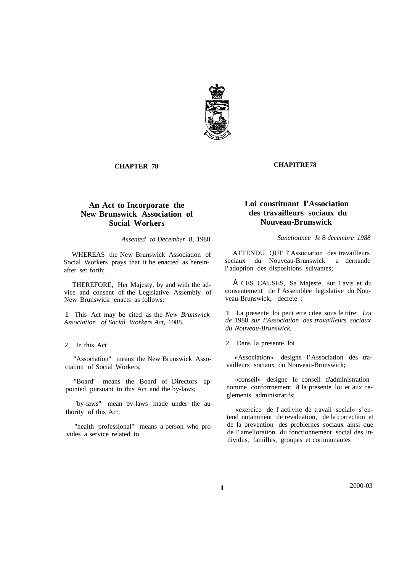

**CHAPTER 78**

# **An Act to Incorporate the New Brunswick Association of Social Workers**

*Assented to December* 8, 1988

WHEREAS the New Brunswick Association of Social Workers prays that it be enacted as hereinafter set forth;

THEREFORE, Her Majesty, by and with the advice and consent of the Legislative Assembly of New Brunswick enacts as follows:

1 This Act may be cited as the *New Brunswick Association of Social Workers Act,* 1988.

### 2 In this Act

"Association" means the New Brunswick Association of Social Workers;

"Board" means the Board of Directors appointed pursuant to this Act and the by-laws;

"by-laws" mean by-laws made under the authority of this Act;

"health professional" means a person who provides a service related to

#### **CHAPITRE78**

# **Loi constituant I'Association des travailleurs sociaux du Nouveau-Brunswick**

*Sanctionnee Ie* 8 *decembre 1988*

ATTENDU QUE l' Association des travailIeurs sociaux du Nouveau-Brunswick a dernande I' adoption des dispositions suivantes;

A CES CAUSES, Sa Majeste, sur 1'avis et du consentement de l' Assemblee legislative du Nouveau-Brunswick, decrete :

1 La presente loi peut etre citee sous le titre: *Loi de* 1988 *sur I'Association des travailleurs sociaux du Nouveau-Brunswick.*

2 Dans la presente loi

«Association» designe I' Association des travailleurs sociaux du Nouveau-Brunswick;

«conseil» designe Ie conseil d'administration nomme conformement a la presente loi et aux reglements administratifs;

«exercice de l' activite de travail social» s' entend notamment de revaluation, de la correction et de la prevention des problernes sociaux ainsi que de I' amelioration du fonctionnement social des individus, familIes, groupes et cornmunautes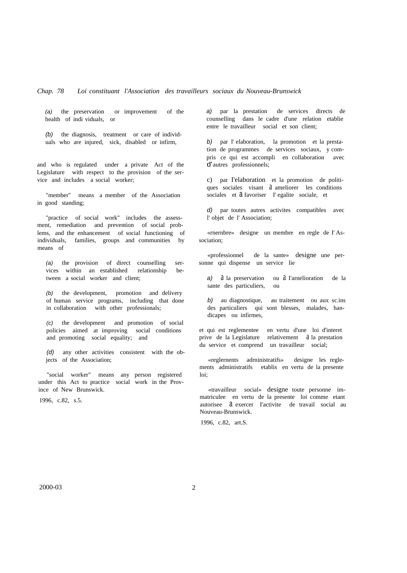*(a)* the preservation or improvement of the health of indi viduals, or

*(b)* the diagnosis, treatment or care of individuals who are injured, sick, disabled or infirm,

and who is regulated under a private Act of the Legislature with respect to the provision of the service and includes a social worker;

"member" means a member of the Association in good standing;

"practice of social work" includes the assessment, remediation and prevention of social problems, and the enhancement of social functioning of individuals, families, groups and communities by means of

*(a)* the provision of direct counselling services within an established relationship between a social worker and client;

*(b)* the development, promotion and delivery of human service programs, including that done in collaboration with other professionals;

*(c)* the development and promotion of social policies aimed at improving social conditions and promoting social equality; and

*(d)* any other activities consistent with the objects of the Association;

"social worker" means any person registered under this Act to practice social work in the Province of New Brunswick.

1996, c.82, s.5.

*a)* par la prestation de services directs de counselling dans le cadre d'une relation etablie entre le travailleur social et son client;

*b)* par l' elaboration, la promotion et la prestation de programmes de services sociaux, y compris ce qui est accompli en collaboration avec d'autres professionnels;

c) par I'elaboration et la promotion de politiques sociales visant  $\alpha$  ameliorer les conditions sociales et  $a$  favoriser I' egalite sociale, et

*d*) par toutes autres activites compatibles avec l' objet de l' Association;

«rnernbre» designe un membre en regle de I' Association;

«professionnel de la sante» designe une personne qui dispense un service lie

*a*) *a* la preservation ou *a* I'arnelioration de la sante des particuliers, ou

*b)* au diagnostique, au traitement ou aux sc.ins des particuliers qui sont blesses, malades, handicapes ou infirmes,

et qui est reglementee en vertu d'une loi d'interet prive de la Legislature relativement à la prestation du service et comprend un travailleur social;

«reglernents adrninistratifs» designe les reglements administratifs etablis en vertu de la presente loi;

«travailleur social» designe toute personne immatriculee en vertu de la presente loi comme etant autorisee a exercer I'activite de travail social au Nouveau-Brunswick.

1996, c.82, art.S.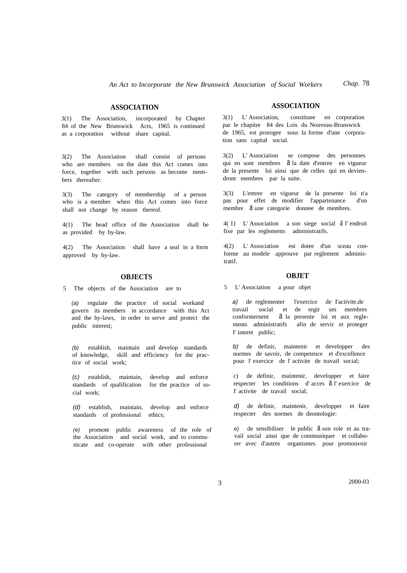# **ASSOCIATION**

3(1) The Association, incorporated by Chapter 84 of the New Brunswick Acts, 1965 is continued as a corporation without share capital.

3(2) The Association shall consist of persons who are members on the date this Act comes into force, together with such persons as become members thereafter.

3(3) The category of membership of a person who is a member when this Act comes into force shall not change by reason thereof.

4(1) The head office of the Association shall be as provided by by-law.

4(2) The Association shall have a seal in a form approved by by-law.

# **OBJECTS**

5 The objects of the Association are to

*(a)* regulate the practice of social workand govern its members in accordance with this Act and the by-laws, in order to serve and protect the public interest;

*(b)* establish, maintain and develop standards of knowledge, skill and efficiency for the practice of social work;

*(c)* establish, maintain, develop and enforce standards of qualification for the practice of social work;

*(d)* establish, maintain, develop and enforce standards of professional ethics;

*(e)* promote public awareness of the role of the Association and social work, and to communicate and co-operate with other professional

# **ASSOCIATION**

3(1) L' Association, constituee en corporation par le chapitre 84 des Lois du Nouveau-Brunswick de 1965, est prorogee sous la forme d'une corporation sans capital social.

3(2) L' Association se compose des personnes qui en sont membres  $\hat{a}$  la date d'entree en vigueur de la presente loi ainsi que de celles qui en deviendront membres par la suite.

3(3) L'entree en vigueur de la presente loi n'a pas pour effet de modifier l'appartenance d'un membre  $\partial$  une categorie donnee de membres.

4( 1) L' Association a son siege social a l' endroit fixe par les reglements administratifs.

4(2) L' Association est dotee d'un sceau conforme au modele approuve par reglement administratif.

### **OBJET**

5 L' Association a pour objet

*a)* de reglementer l'exercice de I'activite.de travail social et de regir ses membres conformernent a la presente loi et aux reglements administratifs afin de servir et proteger I' interet public;

*b)* de definir, maintenir et developper des normes de savoir, de competence et d'excellence pour l' exercice de l' activite de travail social;

c) de definir, maintenir, developper et faire respecter les conditions d' acces a l' exercice de I' activite de travail social;

*d)* de definir, maintenir, developper et faire respecter des normes de deontologie:

*e*) de sensibiliser Ie public  $\partial$  son role et au travail social ainsi que de communiquer et collaborer avec d'autres organismes pour promouvoir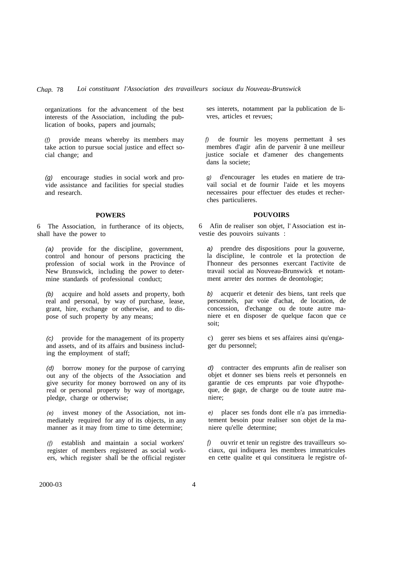organizations for the advancement of the best interests of the Association, including the publication of books, papers and journals;

*(f)* provide means whereby its members may take action to pursue social justice and effect social change; and

*(g)* encourage studies in social work and provide assistance and facilities for special studies and research.

#### **POWERS**

6 The Association, in furtherance of its objects, shall have the power to

*(a)* provide for the discipline, government, control and honour of persons practicing the profession of social work in the Province of New Brunswick, including the power to determine standards of professional conduct;

*(b)* acquire and hold assets and property, both real and personal, by way of purchase, lease, grant, hire, exchange or otherwise, and to dispose of such property by any means;

*(c)* provide for the management of its property and assets, and of its affairs and business including the employment of staff;

*(d)* borrow money for the purpose of carrying out any of the objects of the Association and give security for money borrowed on any of its real or personal property by way of mortgage, pledge, charge or otherwise;

*(e)* invest money of the Association, not immediately required for any of its objects, in any manner as it may from time to time determine;

*(f)* establish and maintain a social workers' register of members registered as social workers, which register shall be the official register ses interets, notamment par la publication de livres, articles et revues;

de fournir les moyens permettant  $a$  ses membres d'agir afin de parvenir à une meilleur justice sociale et d'amener des changements dans la societe;

*g)* d'encourager les etudes en matiere de travail social et de fournir l'aide et les moyens necessaires pour effectuer des etudes et recherches particulieres.

#### **POUVOIRS**

6 Afin de realiser son objet, l' Association est investie des pouvoirs suivants :

*a)* prendre des dispositions pour la gouverne, la discipline, le controle et la protection de I'honneur des personnes exercant I'activite de travail social au Nouveau-Brunswick et notamment arreter des normes de deontologie;

*b)* acquerir et detenir des biens, tant reels que personnels, par voie d'achat, de location, de concession, d'echange ou de toute autre maniere et en disposer de quelque facon que ce soit;

c) gerer ses biens et ses affaires ainsi qu'engager du personnel;

*d)* contracter des emprunts afin de realiser son objet et donner ses biens reels et personnels en garantie de ces emprunts par voie d'hypotheque, de gage, de charge ou de toute autre maniere;

*e)* placer ses fonds dont elle n'a pas irnrnediatement besoin pour realiser son objet de la maniere qu'elle determine;

*f)* ouvrir et tenir un registre des travailleurs sociaux, qui indiquera les membres immatricules en cette qualite et qui constituera le registre of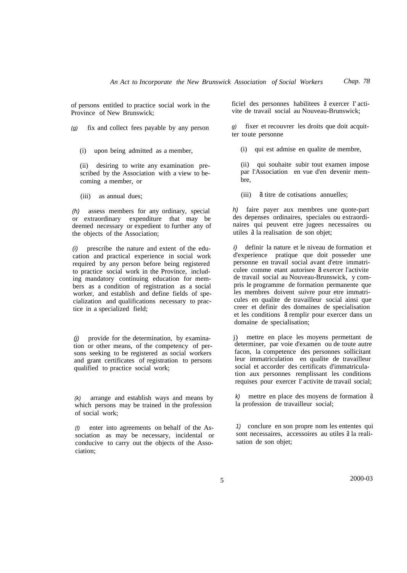of persons entitled to practice social work in the Province of New Brunswick;

*(g)* fix and collect fees payable by any person

(i) upon being admitted as a member,

(ii) desiring to write any examination prescribed by the Association with a view to becoming a member, or

(iii) as annual dues;

*(h)* assess members for any ordinary, special or extraordinary expenditure that may be deemed necessary or expedient to further any of the objects of the Association;

*(i)* prescribe the nature and extent of the education and practical experience in social work required by any person before being registered to practice social work in the Province, including mandatory continuing education for members as a condition of registration as a social worker, and establish and define fields of specialization and qualifications necessary to practice in a specialized field;

*(j)* provide for the determination, by examination or other means, of the competency of persons seeking to be registered as social workers and grant certificates of registration to persons qualified to practice social work;

*(k)* arrange and establish ways and means by which persons may be trained in the profession of social work;

*(l)* enter into agreements on behalf of the Association as may be necessary, incidental or conducive to carry out the objects of the Association;

ficiel des personnes habilitees a exercer I' activite de travail social au Nouveau-Brunswick;

*g)* fixer et recouvrer les droits que doit acquitter toute personne

(i) qui est admise en qualite de membre,

(ii) qui souhaite subir tout examen impose par l'Association en vue d'en devenir membre,

(iii) a titre de cotisations annuelles;

*h)* faire payer aux membres une quote-part des depenses ordinaires, speciales ou extraordinaires qui peuvent etre jugees necessaires ou utiles a la realisation de son objet;

*i)* definir la nature et le niveau de formation et d'experience pratique que doit posseder une personne en travail social avant d'etre immatriculee comme etant autorisee a exercer l'activite de travail social au Nouveau-Brunswick, y compris le programme de formation permanente que les membres doivent suivre pour etre immatricules en qualite de travailleur social ainsi que creer et definir des domaines de specialisation et les conditions a remplir pour exercer dans un domaine de specialisation;

j) mettre en place les moyens permettant de determiner, par voie d'examen ou de toute autre facon, la competence des personnes sollicitant leur immatriculation en qualite de travailleur social et accorder des certificats d'immatriculation aux personnes remplissant les conditions requises pour exercer I' activite de travail social;

*k*) mettre en place des moyens de formation  $\alpha$ la profession de travailleur social;

*1)* conclure en son propre nom les ententes qui sont necessaires, accessoires au utiles  $\hat{a}$  la realisation de son objet;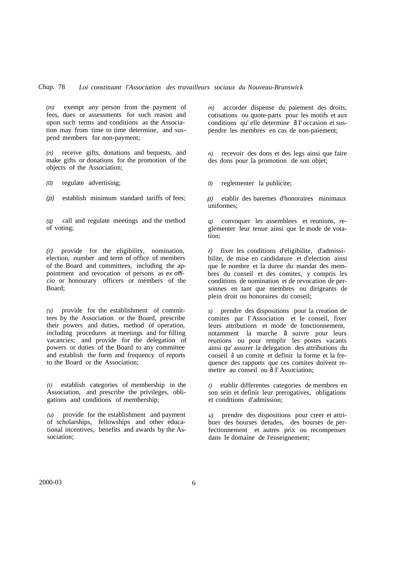*(m)* exempt any person from the payment of fees, dues or assessments for such reason and upon such terms and conditions as the Association may from time to time determine, and suspend members for non-payment;

*(n)* receive gifts, donations and bequests, and make gifts or donations for the promotion of the objects of the Association;

*(0)* regulate advertising;

*(p)* establish minimum standard tariffs of fees;

*(q)* call and regulate meetings and the method of voting;

*(r)* provide for the eligibility, nomination, election, number and term of office of members of the Board and committees, including the appointment and revocation of persons as *ex officio* or honourary officers or members of the Board;

*(s)* provide for the establishment of committees by the Association or the Board, prescribe their powers and duties, method of operation, including procedures at meetings and for filling vacancies; and provide for the delegation of powers or duties of the Board to any committee and establish the form and frequency of reports to the Board or the Association;

*(t)* establish categories of membership in the Association, and prescribe the privileges, obligations and conditions of membership;

*(u)* provide for the establishment and payment of scholarships, fellowships and other educational incentives, benefits and awards by the Association;

*m)* accorder dispense du paiement des droits, cotisations ou quote-parts pour les motifs et aux conditions qu' elle determine a I' occasion et suspendre les membres en cas de non-paiement;

*n)* recevoir des dons et des legs ainsi que faire des dons pour la promotion de son objet;

*0)* reglementer la publicite;

*p)* etablir des barernes d'honoraires minimaux uniformes;

*q)* convoquer les assemblees et reunions, reglementer leur tenue ainsi que Ie mode de votation;

*r)* fixer les conditions d'eligibilite, d'admissibilite, de mise en candidature et d'election ainsi que Ie nombre et la duree du mandat des membres du conseil et des comites, y compris les conditions de nomination et de revocation de personnes en tant que membres ou dirigeants de plein droit ou honoraires du conseil;

*s)* prendre des dispositions pour la creation de comites par I'Association et Ie conseil, fixer leurs attributions et mode de fonctionnement, notamment la marche a suivre pour leurs reunions ou pour remplir les postes vacants ainsi qu' assurer la delegation des attributions du conseil a un comite et definir la forme et la frequence des rapports que ces comites doivent remettre au conseil ou  $\overline{d}$  I' Association;

*t)* etablir differentes categories de membres en son sein et definir leur prerogatives, obligations et conditions d'admission;

*u)* prendre des dispositions pour creer et attribuer des bourses detudes, des bourses de perfectionnement et autres prix ou recompenses dans Ie domaine de l'enseignement;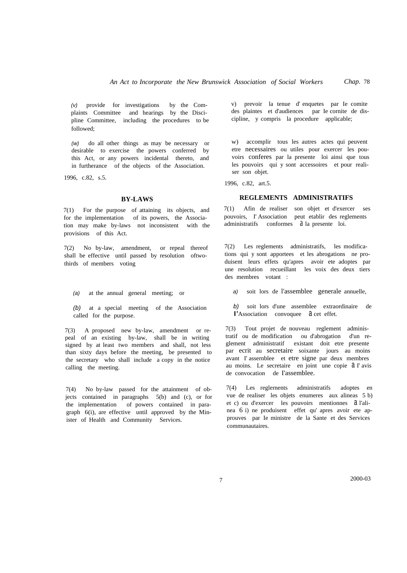*(v)* provide for investigations by the Complaints Committee and hearings by the Discipline Committee, including the procedures to be followed;

*(w)* do all other things as may be necessary or desirable to exercise the powers conferred by this Act, or any powers incidental thereto, and in furtherance of the objects of the Association.

1996, c.82, s.5.

#### **BY-LAWS**

7(1) For the purpose of attaining its objects, and for the implementation of its powers, the Association may make by-laws not inconsistent with the provisions of this Act.

7(2) No by-law, amendment, or repeal thereof shall be effective until passed by resolution oftwothirds of members voting

*(a)* at the annual general meeting; or

*(b)* at a special meeting of the Association called for the purpose.

7(3) A proposed new by-law, amendment or repeal of an existing by-law, shall be in writing signed by at least two members and shall, not less than sixty days before the meeting, be presented to the secretary who shall include a copy in the notice calling the meeting.

7(4) No by-law passed for the attainment of objects contained in paragraphs 5(b) and (c), or for the implementation of powers contained in paragraph 6(i), are effective until approved by the Minister of Health and Community Services.

v) prevoir la tenue d' enquetes par Ie comite des plaintes et d'audiences par Ie cornite de discipline, y compris la procedure applicable;

w) accomplir tous les autres actes qui peuvent etre necessaires ou utiles pour exercer les pouvoirs conferes par la presente loi ainsi que tous les pouvoirs qui y sont accessoires et pour realiser son objet.

1996, c.82, art.5.

#### **REGLEMENTS ADMINISTRATIFS**

7(1) Afin de realiser son objet et d'exercer ses pouvoirs, I' Association peut etablir des reglements administratifs conformes  $\hat{a}$  la presente loi.

7(2) Les reglements administratifs, les modifications qui y sont apportees et les abrogations ne produisent leurs effets qu'apres avoir ete adoptes par une resolution recueillant les voix des deux tiers des membres votant :

*a)* soit lors de l'assemblee generale annuelle,

*b)* soit lors d'une assemblee extraordinaire de l'Association convoquee  $a$  cet effet.

7(3) Tout projet de nouveau reglement administratif ou de modification ou d'abrogation d'un reglement administratif existant doit etre presente par ecrit au secretaire soixante jours au moins avant I' assernblee et etre signe par deux membres au moins. Le secretaire en joint une copie  $d$  I' avis de convocation de I'assemblee.

7(4) Les reglernents administratifs adoptes en vue de realiser les objets enumeres aux alineas 5 b) et c) ou d'exercer les pouvoirs mentionnes a l'alinea 6 i) ne produisent effet qu' apres avoir ete approuves par Ie ministre de la Sante et des Services communautaires.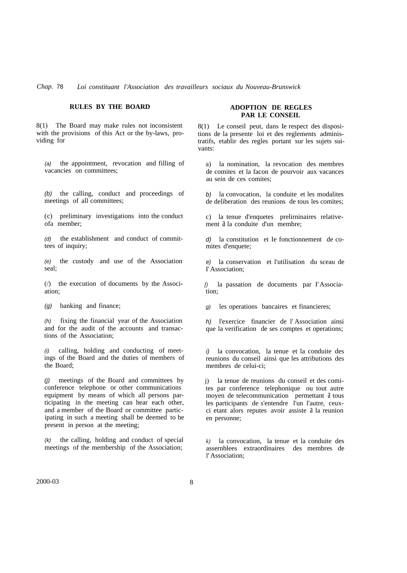# *Chap.* 78 *Loi constituant l'Association des travailleurs sociaux du Nouveau-Brunswick*

# **RULES BY THE BOARD**

8(1) The Board may make rules not inconsistent with the provisions of this Act or the by-laws, providing for

*(a)* the appointment, revocation and filling of vacancies on committees;

*(b)* the calling, conduct and proceedings of meetings of all committees;

(c) preliminary investigations into the conduct ofa member;

*(d)* the establishment and conduct of committees of inquiry;

*(e)* the custody and use of the Association seal;

(/) the execution of documents by the Association;

*(g)* banking and finance;

*(h)* fixing the financial year of the Association and for the audit of the accounts and transactions of the Association;

*(i)* calling, holding and conducting of meetings of the Board and the duties of members of the Board;

*(j)* meetings of the Board and committees by conference telephone or other communications equipment by means of which all persons participating in the meeting can hear each other, and a member of the Board or committee participating in such a meeting shall be deemed to be present in person at the meeting;

*(k)* the calling, holding and conduct of special meetings of the membership of the Association;

#### **ADOPTION DE REGLES PAR LE CONSEIL**

8(1) Le conseil peut, dans Ie respect des dispositions de la presente loi et des reglements administratifs, etablir des regles portant sur les sujets suivants:

a) la nomination, la revocation des membres de comites et la facon de pourvoir aux vacances au sein de ces comites;

*b)* la convocation, la conduite et les modalites de deliberation des reunions de tous les comites;

c) la tenue d'enquetes prelirninaires relativement  $\hat{a}$  la conduite d'un membre;

*d)* la constitution et Ie fonctionnement de comites d'enquete;

*e)* la conservation et l'utilisation du sceau de I'Association;

*f)* la passation de documents par I'Association;

*g)* les operations bancaires et financieres;

*h)* l'exercice financier de l' Association ainsi que la verification de ses comptes et operations;

*i)* la convocation, la tenue et la conduite des reunions du conseil ainsi que les attributions des membres de celui-ci;

j) la tenue de reunions du conseil et des comites par conference telephonique ou tout autre moyen de telecommunication permettant  $\alpha$  tous les participants de s'entendre l'un l'autre, ceuxci etant alors reputes avoir assiste a la reunion en personne;

*k)* la convocation, la tenue et la conduite des assernblees extraordinaires des membres de l' Association;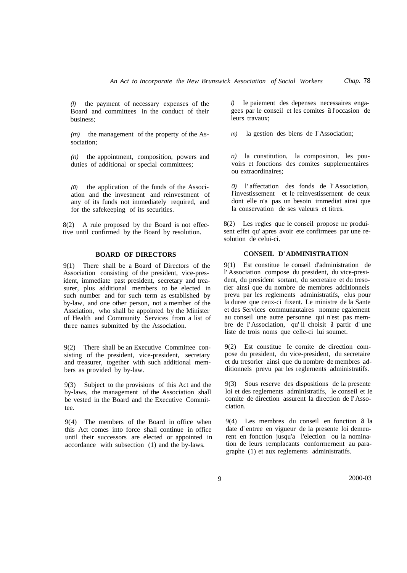*(l)* the payment of necessary expenses of the Board and committees in the conduct of their business;

*(m)* the management of the property of the Association;

*(n)* the appointment, composition, powers and duties of additional or special committees;

*(0)* the application of the funds of the Association and the investment and reinvestment of any of its funds not immediately required, and for the safekeeping of its securities.

8(2) A rule proposed by the Board is not effective until confirmed by the Board by resolution.

# **BOARD OF DIRECTORS**

9(1) There shall be a Board of Directors of the Association consisting of the president, vice-president, immediate past president, secretary and treasurer, plus additional members to be elected in such number and for such term as established by by-law, and one other person, not a member of the Assciation, who shall be appointed by the Minister of Health and Community Services from a list of three names submitted by the Association.

9(2) There shall be an Executive Committee consisting of the president, vice-president, secretary and treasurer, together with such additional members as provided by by-law.

9(3) Subject to the provisions of this Act and the by-laws, the management of the Association shall be vested in the Board and the Executive Committee.

9(4) The members of the Board in office when this Act comes into force shall continue in office until their successors are elected or appointed in accordance with subsection (1) and the by-laws.

*l)* Ie paiement des depenses necessaires engagees par le conseil et les comites a l'occasion de leurs travaux;

*m)* la gestion des biens de I'Association;

*n)* la constitution, la composinon, les pouvoirs et fonctions des comites supplernentaires ou extraordinaires;

*0)* l' affectation des fonds de l' Association, l'investissement et le reinvestissernent de ceux dont elle n'a pas un besoin irnmediat ainsi que la conservation de ses valeurs et titres.

8(2) Les regles que le conseil propose ne produisent effet qu' apres avoir ete confirmees par une resolution de celui-ci.

# **CONSEIL D'ADMINISTRATION**

9(1) Est constitue le conseil d'administration de l' Association compose du president, du vice-president, du president sortant, du secretaire et du tresorier ainsi que du nombre de membres additionnels prevu par les reglements administratifs, elus pour la duree que ceux-ci fixent. Le ministre de la Sante et des Services communautaires nomme egalement au conseil une autre personne qui n'est pas membre de I'Association, qu' il choisit a partir d' une liste de trois noms que celle-ci lui soumet.

9(2) Est constitue Ie cornite de direction compose du president, du vice-president, du secretaire et du tresorier ainsi que du nombre de membres additionnels prevu par les reglernents administratifs.

9(3) Sous reserve des dispositions de la presente loi et des reglernents administratifs, le conseil et Ie comite de direction assurent la direction de I'Association.

9(4) Les membres du conseil en fonction a la date d' entree en vigueur de la presente loi demeurent en fonction jusqu'a l'election ou la nomination de leurs rernplacants conforrnernent au paragraphe (1) et aux reglements administratifs.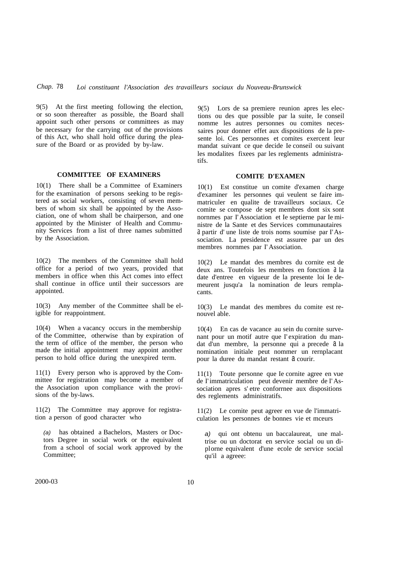9(5) At the first meeting following the election, or so soon thereafter as possible, the Board shall appoint such other persons or committees as may be necessary for the carrying out of the provisions of this Act, who shall hold office during the pleasure of the Board or as provided by by-law.

#### **COMMITTEE OF EXAMINERS**

10(1) There shall be a Committee of Examiners for the examination of persons seeking to be registered as social workers, consisting of seven members of whom six shall be appointed by the Association, one of whom shall be chairperson, and one appointed by the Minister of Health and Community Services from a list of three names submitted by the Association.

10(2) The members of the Committee shall hold office for a period of two years, provided that members in office when this Act comes into effect shall continue in office until their successors are appointed.

10(3) Any member of the Committee shall be eligible for reappointment.

10(4) When a vacancy occurs in the membership of the Committee, otherwise than by expiration of the term of office of the member, the person who made the initial appointment may appoint another person to hold office during the unexpired term.

11(1) Every person who is approved by the Committee for registration may become a member of the Association upon compliance with the provisions of the by-laws.

11(2) The Committee may approve for registration a person of good character who

*(a)* has obtained a Bachelors, Masters or Doctors Degree in social work or the equivalent from a school of social work approved by the Committee;

9(5) Lors de sa premiere reunion apres les elections ou des que possible par la suite, Ie conseil nomme les autres personnes ou comites necessaires pour donner effet aux dispositions de la presente loi. Ces personnes et comites exercent leur mandat suivant ce que decide Ie conseil ou suivant les modalites fixees par les reglements administratifs.

### **COMITE D'EXAMEN**

10(1) Est constitue un comite d'examen charge d'examiner les personnes qui veulent se faire immatriculer en qualite de travailleurs sociaux. Ce comite se compose de sept membres dont six sont nornmes par I'Association et Ie septierne par Ie ministre de la Sante et des Services communautaires a partir d' une liste de trois noms soumise par I'Association. La presidence est assuree par un des membres nornmes par I' Association.

10(2) Le mandat des membres du cornite est de deux ans. Toutefois les membres en fonction a la date d'entree en vigueur de la presente loi Ie demeurent jusqu'a la nomination de leurs remplacants.

10(3) Le mandat des membres du comite est renouvel able.

10(4) En cas de vacance au sein du cornite survenant pour un motif autre que l'expiration du mandat d'un membre, la personne qui a precede a la nomination initiale peut nommer un rernplacant pour la duree du mandat restant  $a$  courir.

11(1) Toute personne que Ie cornite agree en vue de I'immatriculation peut devenir membre de I'Association apres s' etre conforrnee aux dispositions des reglements administratifs.

11(2) Le cornite peut agreer en vue de l'immatriculation les personnes de bonnes vie et mceurs

*a)* qui ont obtenu un baccalaureat, une maltrise ou un doctorat en service social ou un diplorne equivalent d'une ecole de service social qu'il a agreee: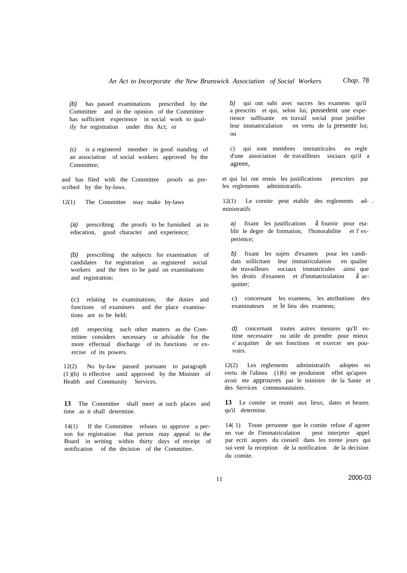*(b)* has passed examinations prescribed by the Committee and in the opinion of the Committee has sufficient experience in social work to qualify for registration under this Act; or

*(c)* is a registered member in good standing of an association of social workers approved by the Committee;

and has filed with the Committee proofs as prescribed by the by-laws.

12(1) The Committee may make by-laws

*(a)* prescribing the proofs to be furnished as to education, good character and experience;

*(b)* prescribing the subjects for examination of candidates for registration as registered social workers and the fees to be paid on examinations and registration;

(c) relating to examinations, the duties and functions of examiners and the place examinations are to be held;

*(d)* respecting such other matters as the Committee considers necessary or advisable for the more effectual discharge of its functions or exercise of its powers.

No by-law passed pursuant to paragraph (1 )(b) is effective until approved by the Minister of Health and Community Services.

**13** The Committee shall meet at such places and time as it shall determine.

14(1) If the Committee refuses to approve a person for registration that person may appeal to the Board in writing within thirty days of receipt of notification of the decision of the Committee.

*b)* qui ont subi avec succes les examens qu'il a prescrits et qui, selon lui, possedent une experience suffisante en travail social pour justifier leur immatriculation en vertu de la presente loi; ou

c) qui sont membres imrnatricules en regle d'une association de travailleurs sociaux qu'il a agreee,

et qui lui ont remis les justifications prescrites par les reglements administratifs.

12(1) Le cornite peut etablir des reglements ad- . ministratifs

a) fixant les justifications a fournir pour etablir le degre de formation, l'honorabilite et l' experience;

*b)* fixant les sujets d'examen pour les candidats sollicitant leur immatriculation en qualite de travailleurs sociaux irnmatricules ainsi que les droits d'examen et d'immatriculation a acquitter;

c) concernant les examens, les attributions des· examinateurs et le lieu des examens;

*d)* concernant toutes autres mesures qu'Il estime necessaire ou utile de prendre pour mieux s' acquitter de ses fonctions et exercer ses pouvoirs.

12(2) Les reglernents administratifs adoptes en vertu de l'alinea (1)b) ne produisent effet qu'apres avoir ete approuves par le ministre de la Sante et des Services communautaires.

13 Le comite se reunit aux lieux, dates et heures qu'il determine.

14( 1) Toute personne que le comite refuse d' agreer en vue de I'immatriculation peut interjeter appel par ecrit aupres du conseil dans les trente jours qui sui vent la reception de la notification de la decision du comite.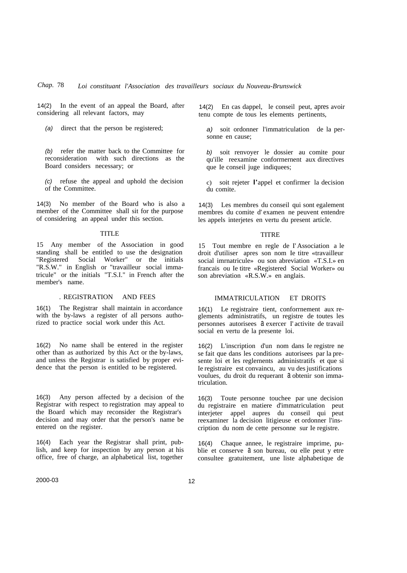14(2) In the event of an appeal the Board, after considering all relevant factors, may

*(a)* direct that the person be registered;

*(b)* refer the matter back to the Committee for reconsideration with such directions as the Board considers necessary; or

*(c)* refuse the appeal and uphold the decision of the Committee.

14(3) No member of the Board who is also a member of the Committee shall sit for the purpose of considering an appeal under this section.

#### TITLE

15 Any member of the Association in good standing shall be entitled to use the designation "Registered Social Worker" or the initials "R.S.W." in English or "travailleur social immatricule" or the initials "T.S.I." in French after the member's name.

#### . REGISTRATION AND FEES

16(1) The Registrar shall maintain in accordance with the by-laws a register of all persons authorized to practice social work under this Act.

16(2) No name shall be entered in the register other than as authorized by this Act or the by-laws, and unless the Registrar is satisfied by proper evidence that the person is entitled to be registered.

16(3) Any person affected by a decision of the Registrar with respect to registration may appeal to the Board which may reconsider the Registrar's decision and may order that the person's name be entered on the register.

16(4) Each year the Registrar shall print, publish, and keep for inspection by any person at his office, free of charge, an alphabetical list, together

14(2) En cas dappel, le conseil peut, apres avoir tenu compte de tous les elements pertinents,

*a)* soit ordonner l'immatriculation de la personne en cause;

*b)* soit renvoyer le dossier au comite pour qu'ille reexamine conforrnernent aux directives que Ie conseil juge indiquees;

c) soit rejeter l'appel et confirmer la decision du comite.

14(3) Les membres du conseil qui sont egalement membres du comite d' examen ne peuvent entendre les appels interjetes en vertu du present article.

#### **TITRE**

15 Tout membre en regle de I' Association a le droit d'utiliser apres son nom Ie titre «travailleur social imrnatricule» ou son abreviation «T.S.I.» en francais ou Ie titre «Registered Social Worker» ou son abreviation «R.S.W.» en anglais.

## IMMATRICULATION ET DROITS

16(1) Le registraire tient, conforrnement aux reglements administratifs, un registre de toutes les personnes autorisees a exercer I' activite de travail social en vertu de la presente loi.

16(2) L'inscription d'un nom dans Ie registre ne se fait que dans les conditions autorisees par la presente loi et les reglernents administratifs et que si Ie registraire est convaincu, au vu des justifications voulues, du droit du requerant  $a$  obtenir son immatriculation.

16(3) Toute personne touchee par une decision du registraire en matiere d'immatriculation peut interjeter appel aupres du conseil qui peut reexaminer la decision litigieuse et ordonner l'inscription du nom de cette personne sur Ie registre.

16(4) Chaque annee, le registraire imprime, publie et conserve  $a$  son bureau, ou elle peut y etre consultee gratuitement, une liste alphabetique de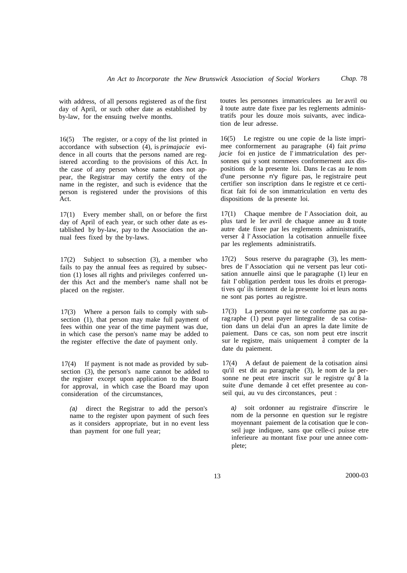with address, of all persons registered as of the first day of April, or such other date as established by by-law, for the ensuing twelve months.

16(5) The register, or a copy of the list printed in accordance with subsection (4), is *primajacie* evidence in all courts that the persons named are registered according to the provisions of this Act. In the case of any person whose name does not appear, the Registrar may certify the entry of the name in the register, and such is evidence that the person is registered under the provisions of this Act.

17(1) Every member shall, on or before the first day of April of each year, or such other date as established by by-law, pay to the Association the annual fees fixed by the by-laws.

17(2) Subject to subsection (3), a member who fails to pay the annual fees as required by subsection (1) loses all rights and privileges conferred under this Act and the member's name shall not be placed on the register.

17(3) Where a person fails to comply with subsection (1), that person may make full payment of fees within one year of the time payment was due, in which case the person's name may be added to the register effective the date of payment only.

17(4) If payment is not made as provided by subsection (3), the person's name cannot be added to the register except upon application to the Board for approval, in which case the Board may upon consideration of the circumstances,

*(a)* direct the Registrar to add the person's name to the register upon payment of such fees as it considers appropriate, but in no event less than payment for one full year;

toutes les personnes irnmatriculees au 1er avril ou a toute autre date fixee par les reglernents administratifs pour les douze mois suivants, avec indication de leur adresse.

16(5) Le registre ou une copie de la liste imprimee conformernent au paragraphe (4) fait *prima jacie* foi en justice de I'immatriculation des personnes qui y sont nornmees conformernent aux dispositions de la presente loi. Dans Ie cas au Ie nom d'une personne n'y figure pas, le registraire peut certifier son inscription dans Ie registre et ce certificat fait foi de son immatriculation en vertu des dispositions de la presente loi.

17(1) Chaque membre de l' Association doit, au plus tard le 1er avril de chaque annee au  $\delta$  toute autre date fixee par les reglements administratifs, verser a l' Association la cotisation annuelle fixee par les reglements administratifs.

17(2) Sous reserve du paragraphe (3), les membres de I' Association qui ne versent pas leur cotisation annuelle ainsi que le paragraphe (1) leur en fait I' obligation perdent tous les droits et prerogatives qu' ils tiennent de la presente loi et leurs noms ne sont pas portes au registre.

17(3) La personne qui ne se conforme pas au parag raphe (1) peut payer lintegralite de sa cotisation dans un delai d'un an apres la date limite de paiement. Dans ce cas, son nom peut etre inscrit sur le registre, mais uniquement à compter de la date du paiement.

17(4) A defaut de paiement de la cotisation ainsi qu'il est dit au paragraphe (3), le nom de la personne ne peut etre inscrit sur le registre qu'a la suite d'une demande  $\lambda$  cet effet presentee au conseil qui, au vu des circonstances, peut :

*a)* soit ordonner au registraire d'inscrire le nom de la personne en question sur le registre moyennant paiement de la cotisation que le conseil juge indiquee, sans que celle-ci puisse etre inferieure au montant fixe pour une annee complete;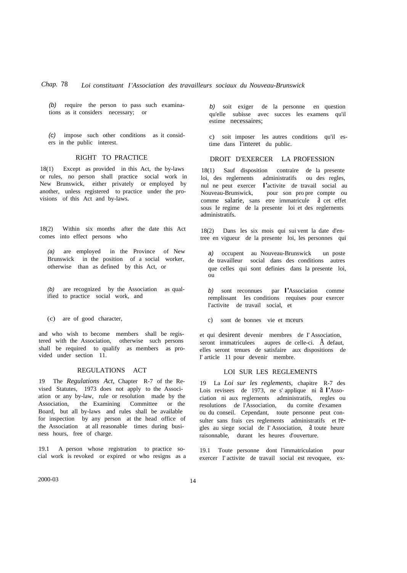*(b)* require the person to pass such examinations as it considers necessary; or

*(c)* impose such other conditions as it considers in the public interest.

### RIGHT TO PRACTICE

18(1) Except as provided in this Act, the by-laws or rules, no person shall practice social work in New Brunswick, either privately or employed by another, unless registered to practice under the provisions of this Act and by-laws.

18(2) Within six months after the date this Act comes into effect persons who

*(a)* are employed in the Province of New Brunswick in the position of a social worker, otherwise than as defined by this Act, or

*(b)* are recognized by the Association as qualified to practice social work, and

(c) are of good character,

and who wish to become members shall be registered with the Association, otherwise such persons shall be required to qualify as members as provided under section 11.

#### REGULATIONS ACT

19 The *Regulations Act,* Chapter R-7 of the Revised Statutes, 1973 does not apply to the Association or any by-law, rule or resolution made by the Association, the Examining Committee or the Board, but all by-laws and rules shall be available for inspection by any person at the head office of the Association at all reasonable times during business hours, free of charge.

19.1 A person whose registration to practice social work is revoked or expired or who resigns as a *b)* soit exiger de la personne en question qu'elle subisse avec succes les examens qu'il estime necessaires;

c) soit imposer les autres conditions qu'il estime dans I'interet du public.

#### DROIT D'EXERCER LA PROFESSION

18(1) Sauf disposition contraire de la presente loi, des reglernents administratifs ou des regles, nul ne peut exercer I'activite de travail social au pour son pro pre compte ou comme salarie, sans etre irnmatricule  $\alpha$  cet effet sous Ie regime de la presente loi et des reglernents administratifs.

18(2) Dans les six mois qui sui vent la date d'entree en vigueur de la presente loi, les personnes qui

*a)* occupent au Nouveau-Brunswick un poste de travailleur social dans des conditions autres que celles qui sont definies dans la presente loi, ou

*b)* sont reconnues par I'Association comme remplissant Ies conditions requises pour exercer I'activite de travail social, et

c) sont de bonnes vie et mceurs

et qui desirent devenir membres de I' Association, seront irnmatriculees aupres de celle-ci. A defaut, elles seront tenues de satisfaire aux dispositions de I' article 11 pour devenir membre.

#### LOI SUR LES REGLEMENTS

19 La *Loi sur les reglements,* chapitre R-7 des Lois revisees de 1973, ne s'applique ni a l'Association ni aux reglernents administratifs, regles ou resolutions de l'Association, du cornite d'examen ou du conseil. Cependant, toute personne peut consulter sans frais ces reglements administratifs et regles au siege social de l'Association, à toute heure raisonnable, durant les heures d'ouverture.

19.1 Toute personne dont l'immatriculation pour exercer I' activite de travail social est revoquee, ex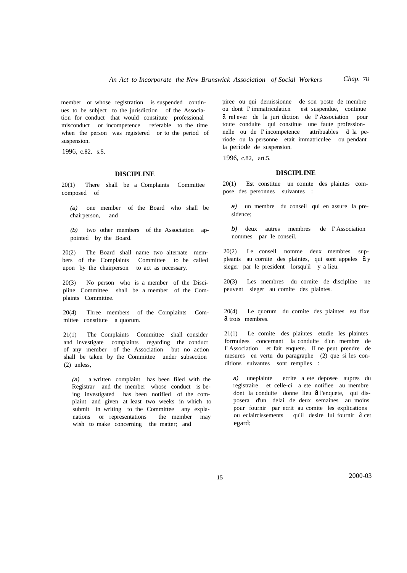member or whose registration is suspended continues to be subject to the jurisdiction of the Association for conduct that would constitute professional misconduct or incompetence referable to the time when the person was registered or to the period of suspension.

1996, c.82, s.5.

#### **DISCIPLINE**

20(1) There shall be a Complaints Committee composed of

*(a)* one member of the Board who shall be chairperson, and

*(b)* two other members of the Association appointed by the Board.

20(2) The Board shall name two alternate members of the Complaints Committee to be called upon by the chairperson to act as necessary.

20(3) No person who is a member of the Discipline Committee shall be a member of the Complaints Committee.

20(4) Three members of the Complaints Committee constitute a quorum.

21(1) The Complaints Committee shall consider and investigate complaints regarding the conduct of any member of the Association but no action shall be taken by the Committee under subsection (2) unless,

*(a)* a written complaint has been filed with the Registrar and the member whose conduct is being investigated has been notified of the complaint and given at least two weeks in which to submit in writing to the Committee any explanations or representations the member may wish to make concerning the matter; and

piree ou qui dernissionne de son poste de membre ou dont I' immatriculaticn est suspendue, continue a reI ever de la juri diction de I' Association pour toute conduite qui constitue une faute professionnelle ou de l'incompetence attribuables  $\hat{a}$  la periode ou la personne etait immatriculee ou pendant la periode de suspension.

1996, c.82, art.5.

#### **DISCIPLINE**

20(1) Est constitue un comite des plaintes compose des personnes suivantes :

*a)* un membre du conseil qui en assure la presidence;

*b)* deux autres membres de I' Association nommes par Ie conseil.

20(2) Le conseil nomme deux membres suppleants au cornite des plaintes, qui sont appeles a y sieger par le president lorsqu'il y a lieu.

20(3) Les membres du cornite de discipline ne peuvent sieger au comite des plaintes.

20(4) Le quorum du cornite des plaintes est fixe a trois membres.

21(1) Le comite des plaintes etudie les plaintes forrnulees concernant la conduite d'un membre de I' Association et fait enquete. II ne peut prendre de mesures en vertu du paragraphe (2) que si les conditions suivantes sont remplies :

*a)* uneplainte ecrite a ete deposee aupres du registraire et celle-ci a ete notifiee au membre dont la conduite donne lieu  $\partial$  l'enquete, qui disposera d'un delai de deux semaines au moins pour fournir par ecrit au comite les explications ou eclaircissements qu'il desire lui fournir â cet egard;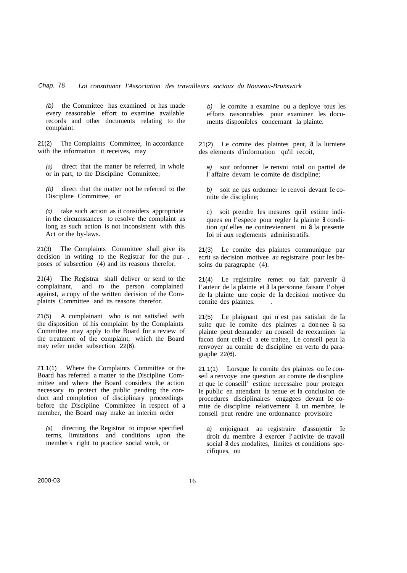*(b)* the Committee has examined or has made every reasonable effort to examine available records and other documents relating to the complaint.

21(2) The Complaints Committee, in accordance with the information it receives, may

*(a)* direct that the matter be referred, in whole or in part, to the Discipline Committee;

*(b)* direct that the matter not be referred to the Discipline Committee, or

*(c)* take such action as it considers appropriate in the circumstances to resolve the complaint as long as such action is not inconsistent with this Act or the by-laws.

21(3) The Complaints Committee shall give its decision in writing to the Registrar for the pur- . poses of subsection (4) and its reasons therefor.

21(4) The Registrar shall deliver or send to the complainant, and to the person complained against, a copy of the written decision of the Complaints Committee and its reasons therefor.

21(5) A complainant who is not satisfied with the disposition of his complaint by the Complaints Committee may apply to the Board for a review of the treatment of the complaint, which the Board may refer under subsection 22(6).

21.1(1) Where the Complaints Committee or the Board has referred a matter to the Discipline Committee and where the Board considers the action necessary to protect the public pending the conduct and completion of disciplinary proceedings before the Discipline Committee in respect of a member, the Board may make an interim order

*(a)* directing the Registrar to impose specified terms, limitations and conditions upon the member's right to practice social work, or

*b)* le cornite a examine ou a deploye tous les efforts raisonnables pour examiner les documents disponibles concernant la plainte.

21(2) Le cornite des plaintes peut, a la lurniere des elements d'information qu'il recoit,

*a)* soit ordonner Ie renvoi total ou partiel de l' affaire devant Ie cornite de discipline;

*b)* soit ne pas ordonner le renvoi devant Ie comite de discipline;

c) soit prendre les mesures qu'il estime indiquees en l'espece pour regler la plainte à condition qu'elles ne contreviennent ni a la presente Ioi ni aux reglements administratifs.

21(3) Le comite des plaintes communique par ecrit sa decision motivee au registraire pour les besoins du paragraphe (4).

21(4) Le registraire remet ou fait parvenir a I' auteur de la plainte et  $\alpha$  Ia personne faisant I' objet de la plainte une copie de la decision motivee du cornite des plaintes. .

21(5) Le plaignant qui n' est pas satisfait de Ia suite que Ie comite des plaintes a donnee  $a$  sa plainte peut demander au conseil de reexaminer la facon dont celle-ci a ete traitee, Le conseil peut la renvoyer au comite de discipline en vertu du paragraphe 22(6).

21.1(1) Lorsque le cornite des plaintes ou Ie conseil a renvoye une question au comite de discipline et que le conseill' estime necessaire pour proteger Ie public en attendant la tenue et la conclusion de procedures disciplinaires engagees devant Ie comite de discipline relativement a un membre, le conseil peut rendre une ordonnance provisoire

*a)* enjoignant au registraire d'assujettir Ie droit du membre a exercer l' activite de travail social a des modalites, limites et conditions specifiques, ou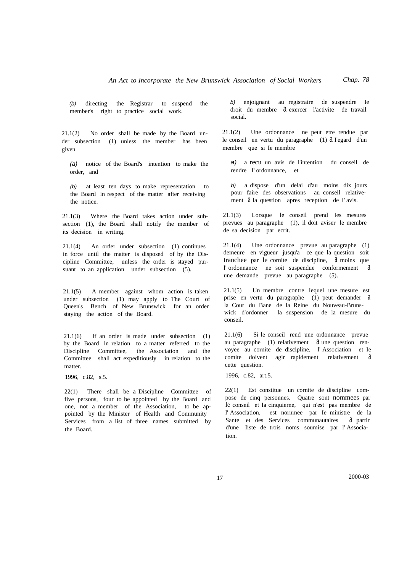*(b)* directing the Registrar to suspend the member's right to practice social work.

21.1(2) No order shall be made by the Board under subsection (1) unless the member has been given

*(a)* notice of the Board's intention to make the order, and

*(b)* at least ten days to make representation to the Board in respect of the matter after receiving the notice.

21.1(3) Where the Board takes action under subsection (1), the Board shall notify the member of its decision in writing.

21.1(4) An order under subsection (1) continues in force until the matter is disposed of by the Discipline Committee, unless the order is stayed pursuant to an application under subsection (5).

21.1(5) A member against whom action is taken under subsection (1) may apply to The Court of Queen's Bench of New Brunswick for an order staying the action of the Board.

21.1(6) If an order is made under subsection (1) by the Board in relation to a matter referred to the Discipline Committee, the Association and the Committee shall act expeditiously in relation to the matter.

1996, c.82, s.5.

22(1) There shall be a Discipline Committee of five persons, four to be appointed by the Board and one, not a member of the Association, to be appointed by the Minister of Health and Community Services from a list of three names submitted by the Board.

*b)* enjoignant au registraire de suspendre Ie droit du membre a exercer l'activite de travail social.

21.1(2) Une ordonnance ne peut etre rendue par le conseil en vertu du paragraphe (1) à I'egard d'un membre que si Ie membre

*a)* a recu un avis de l'intention du conseil de rendre I' ordonnance, et

*b)* a dispose d'un delai d'au moins dix jours pour faire des observations au conseil relativement  $\lambda$  la question apres reception de I' avis.

21.1(3) Lorsque le conseil prend Ies mesures prevues au paragraphe (1), il doit aviser le membre de sa decision par ecrit.

21.1(4) Une ordonnance prevue au paragraphe (1) demeure en vigueur jusqu'a ce que la question soit tranchee par le cornite de discipline, a moins que l' ordonnance ne soit suspendue conformement a une demande prevue au paragraphe (5).

21.1(5) Un membre contre Iequel une mesure est prise en vertu du paragraphe (1) peut demander a la Cour du Bane de la Reine du Nouveau-Brunswick d'ordonner la suspension de la mesure du conseil.

21.1(6) Si le conseil rend une ordonnance prevue au paragraphe  $(1)$  relativement  $\theta$  une question renvoyee au cornite de discipline, l' Association et Ie comite doivent agir rapidement relativement cette question.

1996, c.82, art.5.

22(1) Est constitue un cornite de discipline compose de cinq personnes. Quatre sont nommees par le conseil et Ia cinquierne, qui n'est pas membre de l' Association, est nornmee par Ie ministre de la Sante et des Services communautaires d' partir d'une Iiste de trois noms soumise par l' Association.

17 2000-03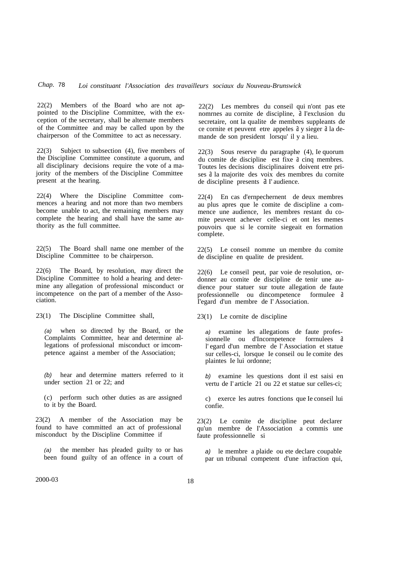22(2) Members of the Board who are not appointed to the Discipline Committee, with the exception of the secretary, shall be alternate members of the Committee and may be called upon by the chairperson of the Committee to act as necessary.

22(3) Subject to subsection (4), five members of the Discipline Committee constitute a quorum, and all disciplinary decisions require the vote of a majority of the members of the Discipline Committee present at the hearing.

22(4) Where the Discipline Committee commences a hearing and not more than two members become unable to act, the remaining members may complete the hearing and shall have the same authority as the full committee.

22(5) The Board shall name one member of the Discipline Committee to be chairperson.

22(6) The Board, by resolution, may direct the Discipline Committee to hold a hearing and determine any allegation of professional misconduct or incompetence on the part of a member of the Association.

23(1) The Discipline Committee shall,

*(a)* when so directed by the Board, or the Complaints Committee, hear and determine allegations of professional misconduct or imcompetence against a member of the Association;

*(b)* hear and determine matters referred to it under section 21 or 22; and

(c) perform such other duties as are assigned to it by the Board.

23(2) A member of the Association may be found to have committed an act of professional misconduct by the Discipline Committee if

*(a)* the member has pleaded guilty to or has been found guilty of an offence in a court of

22(2) Les membres du conseil qui n'ont pas ete nomrnes au cornite de discipline, à l'exclusion du secretaire, ont la qualite de membres suppleants de ce cornite et peuvent etre appeles a y sieger a la demande de son president lorsqu' il y a lieu.

22(3) Sous reserve du paragraphe (4), Ie quorum du comite de discipline est fixe a cinq membres. Toutes les decisions disciplinaires doivent etre prises  $\lambda$  la majorite des voix des membres du cornite de discipline presents a I' audience.

22(4) En cas d'ernpechernent de deux membres au plus apres que le comite de discipline a commence une audience, les membres restant du comite peuvent achever celle-ci et ont les memes pouvoirs que si le cornite siegeait en formation complete.

22(5) Le conseil nomme un membre du comite de discipline en qualite de president.

22(6) Le conseil peut, par voie de resolution, ordonner au comite de discipline de tenir une audience pour statuer sur toute allegation de faute professionnelle ou dincompetence formulee a I'egard d'un membre de I' Association.

23(1) Le cornite de discipline

*a)* examine les allegations de faute professionnelle ou d'Incornpetence forrnulees a l' egard d'un membre de l' Association et statue sur celles-ci, lorsque Ie conseil ou Ie comite des plaintes Ie lui ordonne;

*b)* examine les questions dont il est saisi en vertu de I' article 21 ou 22 et statue sur celles-ci;

c) exerce les autres fonctions que Ie conseil lui confie.

23(2) Le comite de discipline peut declarer qu'un membre de I'Association a commis une faute professionnelle si

*a)* le membre a plaide ou ete declare coupable par un tribunal competent d'une infraction qui,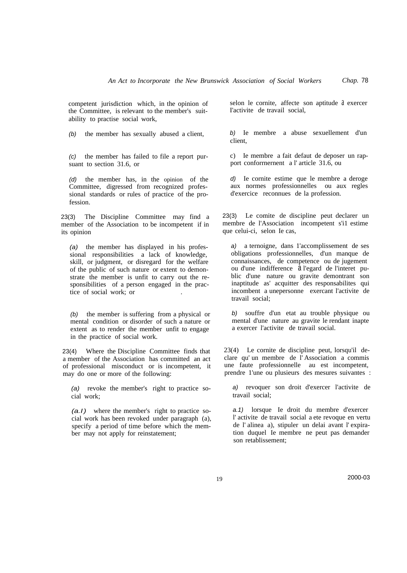competent jurisdiction which, in the opinion of the Committee, is relevant to the member's suitability to practise social work,

*(b)* the member has sexually abused a client,

*(c)* the member has failed to file a report pursuant to section 31.6, or

*(d)* the member has, in the opinion of the Committee, digressed from recognized professional standards or rules of practice of the profession.

23(3) The Discipline Committee may find a member of the Association to be incompetent if in its opinion

*(a)* the member has displayed in his professional responsibilities a lack of knowledge, skill, or judgment, or disregard for the welfare of the public of such nature or extent to demonstrate the member is unfit to carry out the responsibilities of a person engaged in the practice of social work; or .

*(b)* the member is suffering from a physical or mental condition or disorder of such a nature or extent as to render the member unfit to engage in the practice of social work.

23(4) Where the Discipline Committee finds that a member of the Association has committed an act of professional misconduct or is incompetent, it may do one or more of the following:

*(a)* revoke the member's right to practice social work;

*(a.I)* where the member's right to practice social work has been revoked under paragraph (a), specify a period of time before which the member may not apply for reinstatement;

selon le cornite, affecte son aptitude à exercer I'activite de travail social,

*b)* Ie membre a abuse sexuellement d'un client,

c) Ie membre a fait defaut de deposer un rapport conforrnernent a l' article 31.6, ou

*d)* Ie cornite estime que le membre a deroge aux normes professionnelles ou aux regles d'exercice reconnues de la profession.

23(3) Le comite de discipline peut declarer un membre de l'Association incompetent s'i1 estime que celui-ci, selon Ie cas,

*a)* a ternoigne, dans 1'accomplissement de ses obligations professionnelles, d'un manque de connaissances, de competence ou de jugement ou d'une indifference a l'egard de l'interet public d'une nature ou gravite demontrant son inaptitude as' acquitter des responsabilites qui incombent a unepersonne exercant l'activite de travail social;

*b)* souffre d'un etat au trouble physique ou mental d'une nature au gravite le rendant inapte a exercer l'activite de travail social.

23(4) Le cornite de discipline peut, lorsqu'il declare qu' un membre de l' Association a commis une faute professionnelle au est incompetent, prendre 1'une ou plusieurs des mesures suivantes :

*a)* revoquer son droit d'exercer l'activite de travail social;

*a.1)* lorsque Ie droit du membre d'exercer l' activite de travail social a ete revoque en vertu de l' alinea a), stipuler un delai avant l' expiration duquel Ie membre ne peut pas demander son retablissement;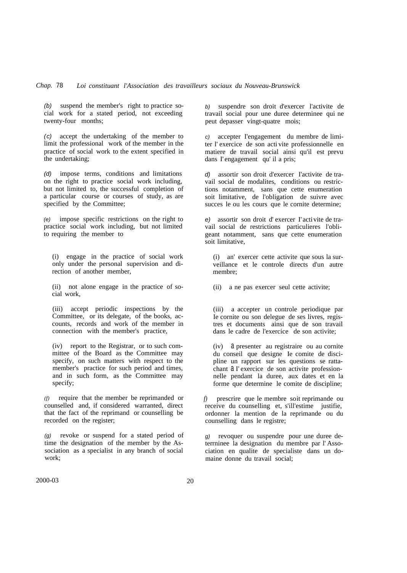*(b)* suspend the member's right to practice social work for a stated period, not exceeding twenty-four months;

*(c)* accept the undertaking of the member to limit the professional work of the member in the practice of social work to the extent specified in the undertaking;

*(d)* impose terms, conditions and limitations on the right to practice social work including, but not limited to, the successful completion of a particular course or courses of study, as are specified by the Committee;

*(e)* impose specific restrictions on the right to practice social work including, but not limited to requiring the member to

(i) engage in the practice of social work only under the personal supervision and direction of another member,

(ii) not alone engage in the practice of social work,

(iii) accept periodic inspections by the Committee, or its delegate, of the books, accounts, records and work of the member in connection with the member's practice,

(iv) report to the Registrar, or to such committee of the Board as the Committee may specify, on such matters with respect to the member's practice for such period and times, and in such form, as the Committee may specify;

*(f)* require that the member be reprimanded or counselled and, if considered warranted, direct that the fact of the reprimand or counselling be recorded on the register;

*(g)* revoke or suspend for a stated period of time the designation of the member by the Association as a specialist in any branch of social work;

*b)* suspendre son droit d'exercer l'activite de travail social pour une duree determinee qui ne peut depasser vingt-quatre mois;

*c)* accepter I'engagement du membre de limiter l' exercice de son acti vite professionnelle en matiere de travail social ainsi qu'il est prevu dans I' engagement qu' il a pris;

*d)* assortir son droit d'exercer I'activite de travail social de modalites, conditions ou restrictions notamment, sans que cette enumeration soit limitative, de l'obligation de suivre avec succes le ou les cours que le cornite determine;

*e)* assortir son droit d' exercer I' activite de travail social de restrictions particulieres l'obligeant notamment, sans que cette enumeration soit limitative,

(i) an' exercer cette activite que sous la surveillance et le controle directs d'un autre membre;

(ii) a ne pas exercer seul cette activite;

(iii) a accepter un controle periodique par Ie cornite ou son delegue de ses livres, registres et documents ainsi que de son travail dans le cadre de l'exercice de son activite;

(iv) a presenter au registraire ou au cornite du conseil que designe Ie comite de discipline un rapport sur les questions se rattachant a I' exercice de son activite professionnelle pendant la duree, aux dates et en la forme que determine le comite de discipline;

*f)* prescrire que le membre soit reprimande ou receive du counselling et, s'ill'estime justifie, ordonner la mention de la reprimande ou du counselling dans le registre;

*g)* revoquer ou suspendre pour une duree deterrninee la designation du membre par l' Association en qualite de specialiste dans un domaine donne du travail social;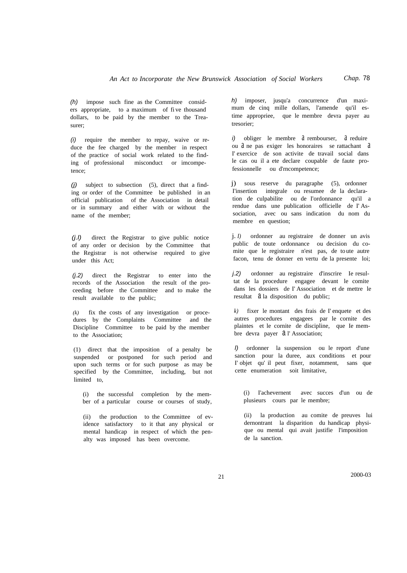(h) impose such fine as the Committee considers appropriate, to a maximum of fi ve thousand dollars, to be paid by the member to the Treasurer;

*(i)* require the member to repay, waive or reduce the fee charged by the member in respect of the practice of social work related to the finding of professional misconduct or imcompetence;

*(j)* subject to subsection (5), direct that a finding or order of the Committee be published in an official publication of the Association in detail or in summary and either with or without the name of the member;

*(j.l)* direct the Registrar to give public notice of any order or decision by the Committee that the Registrar is not otherwise required to give under this Act;

*(j.2)* direct the Registrar to enter into the records of the Association the result of the proceeding before the Committee and to make the result available to the public;

*(k)* fix the costs of any investigation or procedures by the Complaints Committee and the Discipline Committee to be paid by the member to the Association;

(1) direct that the imposition of a penalty be suspended or postponed for such period and upon such terms or for such purpose as may be specified by the Committee, including, but not limited to,

(i) the successful completion by the member of a particular course or courses of study,

(ii) the production to the Committee of evidence satisfactory to it that any physical or mental handicap in respect of which the penalty was imposed has been overcome.

*h)* imposer, jusqu'a concurrence d'un maximum de cinq mille dollars, l'amende qu'il estime appropriee, que le membre devra payer au tresorier;

*i*) obliger le membre  $\hat{a}$  rembourser,  $\hat{a}$  reduire ou  $d$  ne pas exiger les honoraires se rattachant  $d$ I' exercice de son activite de travail social dans le cas ou il a ete declare coupable de faute professionnelle ou d'rncompetence;

j) sous reserve du paragraphe (5), ordonner I'insertion integrale ou resumee de la declaration de culpabilite ou de I'ordonnance qu'il a rendue dans une publication officielle de I' Association, avec ou sans indication du nom du membre en question;

j. *I)* ordonner au registraire de donner un avis public de toute ordonnance ou decision du comite que le registraire n'est pas, de to ute autre facon, tenu de donner en vertu de la presente loi;

*j.2)* ordonner au registraire d'inscrire Ie resultat de la procedure engagee devant le comite dans les dossiers de I' Association et de mettre le resultat  $\partial a$  la disposition du public;

*k)* fixer le montant des frais de I' enquete et des autres procedures engagees par le cornite des plaintes et le cornite de discipline, que Ie membre devra payer  $a$  l'Association;

*l)* ordonner la suspension ou le report d'une sanction pour la duree, aux conditions et pour I' objet qu' il peut fixer, notamment, sans que cette enumeration soit limitative,

(i) I'achevernent avec succes d'un ou de plusieurs cours par le membre;

(ii) la production au comite de preuves lui dernontrant la disparition du handicap physique ou mental qui avait justifie l'imposition de la sanction.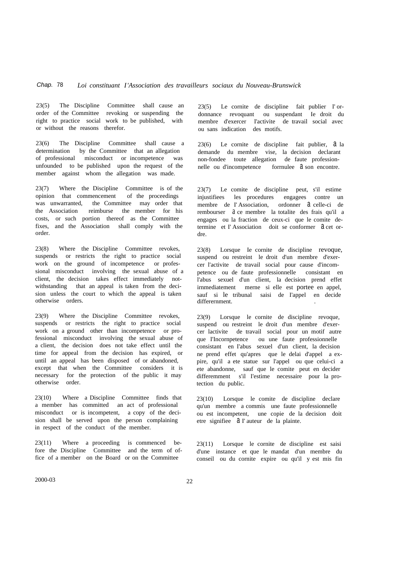23(5) The Discipline Committee shall cause an order of the Committee revoking or suspending the right to practice social work to be published, with or without the reasons therefor.

23(6) The Discipline Committee shall cause a determination by the Committee that an allegation of professional misconduct or incompetence was unfounded to be published upon the request of the member against whom the allegation was made.

23(7) Where the Discipline Committee is of the opinion that commencement of the proceedings was unwarranted, the Committee may order that the Association reimburse the member for his costs, or such portion thereof as the Committee fixes, and the Association shall comply with the order.

23(8) Where the Discipline Committee revokes, suspends or restricts the right to practice social work on the ground of incompetence or professional misconduct involving the sexual abuse of a client, the decision takes effect immediately notwithstanding that an appeal is taken from the decision unless the court to which the appeal is taken otherwise orders.

23(9) Where the Discipline Committee revokes, suspends or restricts the right to practice social work on a ground other than incompetence or professional misconduct involving the sexual abuse of a client, the decision does not take effect until the time for appeal from the decision has expired, or until an appeal has been disposed of or abandoned, except that when the Committee considers it is necessary for the protection of the public it may otherwise order.

23(10) Where a Discipline Committee finds that a member has committed an act of professional misconduct or is incompetent, a copy of the decision shall be served upon the person complaining in respect of the conduct of the member.

23(11) Where a proceeding is commenced before the Discipline Committee and the term of office of a member on the Board or on the Committee

23(5) Le cornite de discipline fait publier I' ordonnance revoquant ou suspendant Ie droit du membre d'exercer I'activite de travail social avec ou sans indication des motifs.

23(6) Le cornite de discipline fait publier,  $a$  la demande du membre vise, la decision declarant non-fondee toute allegation de faute professionnelle ou d'incompetence formulee  $a$  son encontre.

23(7) Le comite de discipline peut, s'il estime injustifiees les procedures engagees contre un membre de l'Association, ordonner  $\partial$  celle-ci de rembourser d ce membre la totalite des frais qu'il a engages ou la fraction de ceux-ci que le comite determine et I' Association doit se conformer  $a$  cet ordre.

23(8) Lorsque Ie cornite de discipline revoque, suspend ou restreint le droit d'un membre d'exercer l'activite de travail social pour cause d'incompetence ou de faute professionnelle consistant en l'abus sexuel d'un client, la decision prend effet irnmediatement merne si elle est portee en appel, sauf si le tribunal saisi de I'appel en decide differernment.

23(9) Lorsque le cornite de discipline revoque, suspend ou restreint le droit d'un membre d'exercer lactivite de travail social pour un motif autre que I'Incornpetence ou une faute professionnelle consistant en I'abus sexuel d'un client, la decision ne prend effet qu'apres que le delai d'appel a expire, qu'il a ete statue sur l'appel ou que celui-ci a ete abandonne, sauf que le comite peut en decider differemment s'il I'estime necessaire pour la protection du public.

23(10) Lorsque le comite de discipline declare qu'un membre a commis une faute professionnelle ou est incompetent, une copie de la decision doit etre signifiee  $d$  I' auteur de la plainte.

23(11) Lorsque le cornite de discipline est saisi d'une instance et que le mandat d'un membre du conseil ou du cornite expire ou qu'il y est mis fin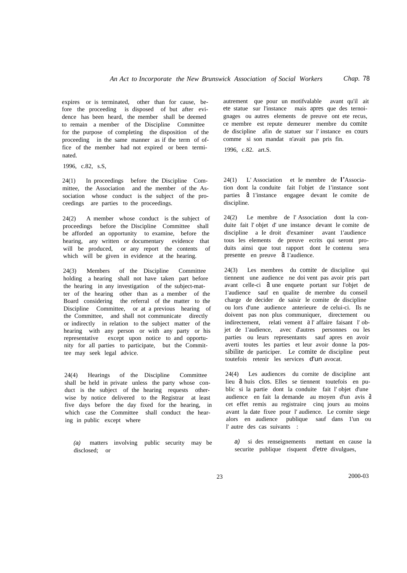expires or is terminated, other than for cause, before the proceeding is disposed of but after evidence has been heard, the member shall be deemed to remain a member of the Discipline Committee for the purpose of completing the disposition of the proceeding in the same manner as if the term of office of the member had not expired or been terminated.

1996, c.82, s.S,

24(1) In proceedings before the Discipline Committee, the Association and the member of the Association whose conduct is the subject of the proceedings are parties to the proceedings.

24(2) A member whose conduct is the subject of proceedings before the Discipline Committee shall be afforded an opportunity to examine, before the hearing, any written or documentary evidence that will be produced, or any report the contents of which will be given in evidence at the hearing.

24(3) Members of the Discipline Committee holding a hearing shall not have taken part before the hearing in any investigation of the subject-matter of the hearing other than as a member of the Board considering the referral of the matter to the Discipline Committee, or at a previous hearing of the Committee, and shall not communicate directly or indirectly in relation to the subject matter of the hearing with any person or with any party or his representative except upon notice to and opportunity for all parties to participate, but the Committee may seek legal advice.

24(4) Hearings of the Discipline Committee shall be held in private unless the party whose conduct is the subject of the hearing requests otherwise by notice delivered to the Registrar at least five days before the day fixed for the hearing, in which case the Committee shall conduct the hearing in public except where

*(a)* matters involving public security may be disclosed; or

autrement que pour un motifvalable avant qu'il ait ete statue sur l'instance mais apres que des ternoignages ou autres elements de preuve ont ete recus, ce membre est repute demeurer membre du comite de discipline afin de statuer sur l' instance en cours comme si son mandat n'avait pas pris fin.

1996, c.82. art.S.

24(1) L' Association et Ie membre de I'Association dont la conduite fait l'objet de 1'instance sont parties a 1'instance engagee devant Ie comite de discipline.

24(2) Le membre de l' Association dont la conduite fait l' objet d' une instance devant le comite de discipline a Ie droit d'examiner avant 1'audience tous les elements de preuve ecrits qui seront produits ainsi que tout rapport dont Ie contenu sera presente en preuve  $a$  1'audience.

24(3) Les membres du comite de discipline qui tiennent une audience ne doi vent pas avoir pris part avant celle-ci  $\partial$  une enquete portant sur l'objet de 1'audience sauf en qualite de mernbre du conseil charge de decider de saisir le comite de discipline ou lors d'une audience anterieure de celui-ci. Ils ne doivent pas non plus communiquer, directement ou indirectement, relati vement a l' affaire faisant l' objet de 1'audience, avec d'autres personnes ou les parties ou leurs representants sauf apres en avoir averti toutes les parties et leur avoir donne la possibilite de participer. Le comite de discipline peut toutefois retenir les services d'un avocat.

24(4) Les audiences du cornite de discipline ant lieu a huis clos. Elles se tiennent toutefois en public si la partie dont la conduite fait l' objet d'une audience en fait la demande au moyen d'un avis a cet effet remis au registraire cinq jours au moins avant la date fixee pour l' audience. Le cornite siege alors en audience publique sauf dans 1'un ou l' autre des cas suivants :

*a)* si des renseignements mettant en cause la securite publique risquent d'etre divulgues,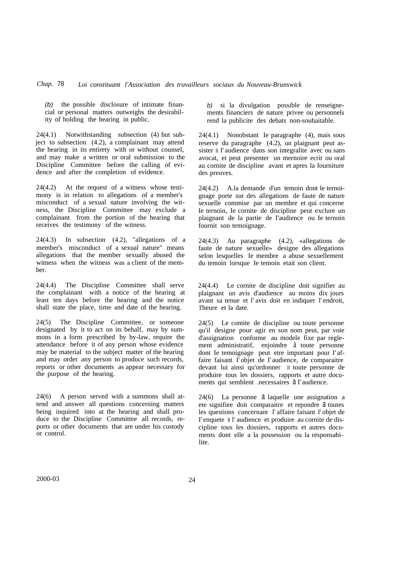*(b)* the possible disclosure of intimate financial or personal matters outweighs the desirability of holding the hearing in public.

24(4.1) Notwithstanding subsection (4) but subject to subsection (4.2), a complainant may attend the hearing in its entirety with or without counsel, and may make a written or oral submission to the Discipline Committee before the calling of evidence and after the completion of evidence.

24(4.2) At the request of a witness whose testimony is in relation to allegations of a member's misconduct of a sexual nature involving the witness, the Discipline Committee may exclude a complainant from the portion of the hearing that receives the testimony of the witness.

24(4.3) In subsection (4.2), "allegations of a member's misconduct of a sexual nature" means allegations that the member sexually abused the witness when the witness was a client of the member.

24(4.4) The Discipline Committee shall serve the complainant with a notice of the hearing at least ten days before the hearing and the notice shall state the place, time and date of the hearing.

24(5) The Discipline Committee, or someone designated by it to act on its behalf, may by summons in a form prescribed by by-law, require the attendance before it of any person whose evidence may be material to the subject matter of the hearing and may order any person to produce such records, reports or other documents as appear necessary for the purpose of the hearing.

24(6) A person served with a summons shall attend and answer all questions concerning matters being inquired into at the hearing and shall produce to the Discipline Committee all records, reports or other documents that are under his custody or control.

*b)* si la divulgation possible de renseignements financiers de nature privee ou personnels rend la publicite des debats non-souhaitable.

24(4.1) Nonobstant Ie paragraphe (4), mais sous reserve du paragraphe (4.2), un plaignant peut assister it I' audience dans son integralite avec ou sans avocat, et peut presenter un mernoire ecrit ou oral au cornite de discipline avant et apres la fourniture des preuves.

24(4.2) A.la demande d'un temoin dont le ternoignage porte sur des allegations de faute de nature sexuelle commise par un membre et qui concerne Ie ternoin, Ie cornite de discipline peut exclure un plaignant de la partie de I'audience ou Ie ternoin fournit son temoignage.

24(4.3) Au paragraphe (4.2), «allegations de faute de nature sexuelle» designe des allegations selon lesquelles Ie membre a abuse sexuellement du temoin lorsque Ie temoin etait son client.

24(4.4) Le cornite de discipline doit signifier au plaignant un avis d'audience au moins dix jours avant sa tenue et l' avis doit en indiquer l' endroit, 1'heure et la date.

24(5) Le comite de discipline ou toute personne qu'il designe pour agir en son nom peut, par voie d'assignation conforme au modele fixe par reglement administratif, enjoindre a toute personne dont Ie temoignage peut etre important pour I' affaire faisant I' objet de I' audience, de comparaitre devant lui ainsi qu'ordonner it toute personne de produire tous les dossiers, rapports et autre documents qui semblent .necessaires a I' audience.

24(6) La personne a laquelle une assignation a ete signifiee doit comparaitre et repondre a toutes les questions concernant l' affaire faisant l' objet de I' enquete it l' audience et produire au cornite de discipline tous les dossiers, rapports et autres documents dont elle a la possession ou la responsabilite.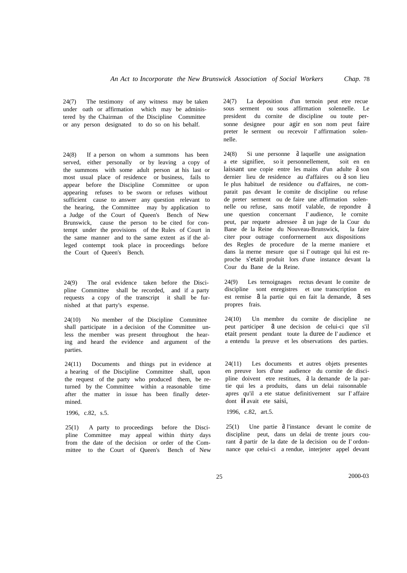24(7) The testimony of any witness may be taken under oath or affirmation which may be administered by the Chairman of the Discipline Committee or any person designated to do so on his behalf.

24(8) If a person on whom a summons has been served, either personally or by leaving a copy of the summons with some adult person at his last or most usual place of residence or business, fails to appear before the Discipline Committee or upon appearing refuses to be sworn or refuses without sufficient cause to answer any question relevant to the hearing, the Committee may by application to a Judge of the Court of Queen's Bench of New Brunswick, cause the person to be cited for contempt under the provisions of the Rules of Court in the same manner and to the same extent as if the alleged contempt took place in proceedings before the Court of Queen's Bench.

24(9) The oral evidence taken before the Discipline Committee shall be recorded, and if a party requests a copy of the transcript it shall be furnished at that party's expense.

24(10) No member of the Discipline Committee shall participate in a decision of the Committee unless the member was present throughout the hearing and heard the evidence and argument of the parties.

24(11) Documents and things put in evidence at a hearing of the Discipline Committee shall, upon the request of the party who produced them, be returned by the Committee within a reasonable time after the matter in issue has been finally determined.

1996, c.82, s.5.

25(1) A party to proceedings before the Discipline Committee may appeal within thirty days from the date of the decision or order of the Committee to the Court of Queen's Bench of New

24(7) La deposition d'un ternoin peut etre recue sous serment ou sous affirmation solennelle. Le president du cornite de discipline ou toute personne designee pour agir en son nom peut faire preter Ie serment ou recevoir I' affirmation solennelle.

24(8) Si une personne d laquelle une assignation a ete signifiee, so it personnellement, soit en en laissant une copie entre les mains d'un adulte â son dernier lieu de residence au d'affaires ou â son lieu Ie plus habituel de residence ou d'affaires, ne comparait pas devant Ie comite de discipline ou refuse de preter serment ou de faire une affirmation solennelle ou refuse, sans motif valable, de repondre d une question concernant I' audience, Ie cornite peut, par requete adressee  $\hat{a}$  un juge de la Cour du Bane de la Reine du Nouveau-Brunswick, la faire citer pour outrage conforrnernent aux dispositions des Regles de procedure de la merne maniere et dans la merne mesure que si I' outrage qui lui est reproche s'etait produit lors d'une instance devant la Cour du Bane de la Reine.

24(9) Les ternoignages rectus devant Ie comite de discipline sont enregistres et une transcription en est remise  $a$  la partie qui en fait la demande,  $a$  ses propres frais.

24(10) Un membre du cornite de discipline ne peut participer  $\theta$  une decision de celui-ci que s'il etait present pendant toute la duree de I' audience et a entendu la preuve et les observations des parties.

24(11) Les documents et autres objets presentes en preuve lors d'une audience du cornite de discipline doivent etre restitues, a la demande de la partie qui les a produits, dans un delai raisonnable apres qu'il a ete statue definitivernent sur I' affaire dont il avait ete saisi,

1996, c.82, art.5.

25(1) Une partie  $\hat{a}$  l'instance devant le comite de discipline peut, dans un delai de trente jours courant a partir de la date de la decision ou de I' ordonnance que celui-ci a rendue, interjeter appel devant

25 2000-03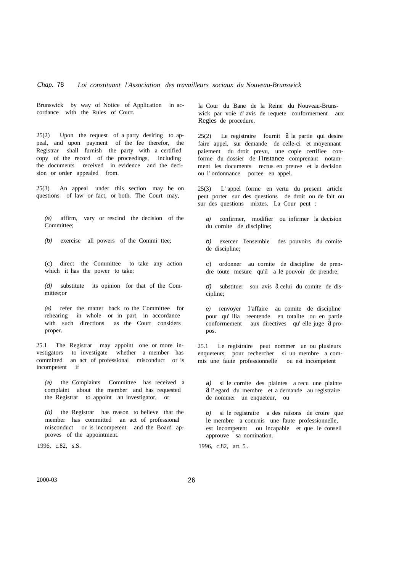#### *Chap.* 78 *Loi constituant l'Association des travailleurs sociaux du Nouveau-Brunswick*

Brunswick by way of Notice of Application in accordance with the Rules of Court.

25(2) Upon the request of a party desiring to appeal, and upon payment of the fee therefor, the Registrar shall furnish the party with a certified copy of the record of the proceedings, including the documents received in evidence and the decision or order appealed from.

25(3) An appeal under this section may be on questions of law or fact, or both. The Court may,

*(a)* affirm, vary or rescind the decision of the Committee;

*(b)* exercise all powers of the Commi ttee;

(c) direct the Committee to take any action which it has the power to take;

*(d)* substitute its opinion for that of the Committee;or

*(e)* refer the matter back to the Committee for rehearing in whole or in part, in accordance with such directions as the Court considers proper.

25.1 The Registrar may appoint one or more investigators to investigate whether a member has committed an act of professional misconduct or is incompetent if

*(a)* the Complaints Committee has received a complaint about the member and has requested the Registrar to appoint an investigator, or

*(b)* the Registrar has reason to believe that the member has committed an act of professional misconduct or is incompetent and the Board approves of the appointment.

1996, c.82, s.S.

la Cour du Bane de la Reine du Nouveau-Brunswick par voie d' avis de requete conformernent aux Regles de procedure.

25(2) Le registraire fournit â la partie qui desire faire appel, sur demande de celle-ci et moyennant paiement du droit prevu, une copie certifiee conforme du dossier de I'instance comprenant notamment les documents rectus en preuve et la decision ou l' ordonnance portee en appel.

25(3) L' appel forme en vertu du present article peut porter sur des questions de droit ou de fait ou sur des questions mixtes. La Cour peut :

*a)* confirmer, modifier ou infirmer la decision du cornite de discipline;

*b)* exercer I'ensemble des pouvoirs du comite de discipline;

c) ordonner au cornite de discipline de prendre toute mesure qu'il a Ie pouvoir de prendre;

*d*) substituer son avis  $\partial$  celui du comite de discipline;

*e)* renvoyer I'affaire au comite de discipline pour qu' ilia reentende en totalite ou en partie conformement aux directives qu' elle juge  $\overline{a}$  propos.

25.1 Le registraire peut nommer un ou plusieurs enqueteurs pour rechercher si un membre a commis une faute professionnelle ou est incompetent

*a)* si le cornite des plaintes a recu une plainte a I' egard du membre et a dernande au registraire de nommer un enqueteur, ou

*b)* si le registraire a des raisons de croire que le membre a comrnis une faute professionnelle, est incompetent ou incapable et que Ie conseil approuve sa nomination.

1996, c.82, art. 5 .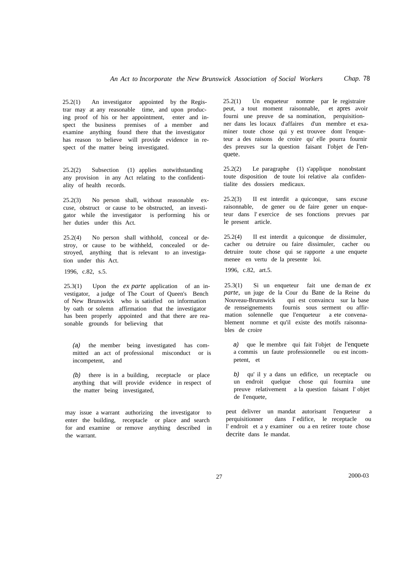25.2(1) An investigator appointed by the Registrar may at any reasonable time, and upon producing proof of his or her appointment, enter and inspect the business premises of a member and examine anything found there that the investigator has reason to believe will provide evidence in respect of the matter being investigated.

25.2(2) Subsection (1) applies notwithstanding any provision in any Act relating to the confidentiality of health records.

25.2(3) No person shall, without reasonable excuse, obstruct or cause to be obstructed, an investigator while the investigator is performing his or her duties under this Act.

25.2(4) No person shall withhold, conceal or destroy, or cause to be withheld, concealed or destroyed, anything that is relevant to an investigation under this Act.

1996, c.82, s.5.

25.3(1) Upon the *ex parte* application of an investigator, a judge of The Court of Queen's Bench of New Brunswick who is satisfied on information by oath or solemn affirmation that the investigator has been properly appointed and that there are reasonable grounds for believing that

*(a)* the member being investigated has committed an act of professional misconduct or is incompetent, and

*(b)* there is in a building, receptacle or place anything that will provide evidence in respect of the matter being investigated,

may issue a warrant authorizing the investigator to enter the building, receptacle or place and search for and examine or remove anything described in the warrant.

25.2(1) Un enqueteur nomme par Ie registraire peut, a tout moment raisonnable, et apres avoir fourni une preuve de sa nomination, perquisitionner dans les locaux d'affaires d'un membre et examiner toute chose qui y est trouvee dont l'enqueteur a des raisons de croire qu' elle pourra fournir des preuves sur la question faisant I'objet de l'enquete.

25.2(2) Le paragraphe (1) s'applique nonobstant toute disposition de toute loi relative ala confidentialite des dossiers medicaux.

25.2(3) II est interdit a quiconque, sans excuse raisonnable, de gener ou de faire gener un enqueteur dans l' exercice de ses fonctions prevues par le present article.

25.2(4) II est interdit a quiconque de dissimuler, cacher ou detruire ou faire dissimuler, cacher ou detruire toute chose qui se rapporte a une enquete menee en vertu de la presente loi.

1996, c.82, art.5.

25.3(1) Si un enqueteur fait une deman de *ex parte,* un juge de la Cour du Bane de la Reine du Nouveau-Brunswick qui est convaincu sur la base de renseignements fournis sous serment ou affirmation solennelle que I'enqueteur a ete convenablement nornme et qu'il existe des motifs raisonnables de croire

*a)* que le membre qui fait I'objet de l'enquete a commis un faute professionnelle ou est incompetent, et

*b)* qu' il y a dans un edifice, un receptacle ou un endroit quelque chose qui fournira une preuve relativement a la question faisant l' objet de I'enquete,

peut delivrer un mandat autorisant l'enqueteur a perquisitionner dans I' edifice, le receptacle ou l' endroit et a y examiner ou a en retirer toute chose decrite dans Ie mandat.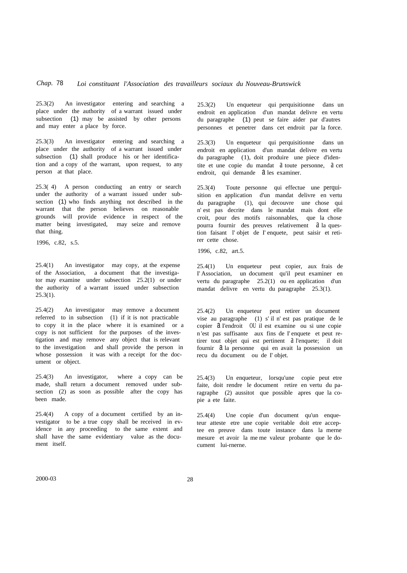25.3(2) An investigator entering and searching a place under the authority of a warrant issued under subsection (1) may be assisted by other persons and may enter a place by force.

25.3(3) An investigator entering and searching a place under the authority of a warrant issued under subsection (1) shall produce his or her identification and a copy of the warrant, upon request, to any person at that place.

25.3( 4) A person conducting an entry or search under the authority of a warrant issued under subsection (1) who finds anything not described in the warrant that the person believes on reasonable grounds will provide evidence in respect of the matter being investigated, may seize and remove that thing.

1996, c.82, s.5.

25.4(1) An investigator may copy, at the expense of the Association, a document that the investigator may examine under subsection 25.2(1) or under the authority of a warrant issued under subsection  $25.3(1)$ .

25.4(2) An investigator may remove a document referred to in subsection (1) if it is not practicable to copy it in the place where it is examined or a copy is not sufficient for the purposes of the investigation and may remove any object that is relevant to the investigation and shall provide the person in whose possession it was with a receipt for the document or object.

25.4(3) An investigator, where a copy can be made, shall return a document removed under subsection (2) as soon as possible after the copy has been made.

25.4(4) A copy of a document certified by an investigator to be a true copy shall be received in evidence in any proceeding to the same extent and shall have the same evidentiary value as the document itself.

25.3(2) Un enqueteur qui perquisitionne dans un endroit en application d'un mandat delivre en vertu du paragraphe (1) peut se faire aider par d'autres personnes et penetrer dans cet endroit par la force.

25.3(3) Un enqueteur qui perquisitionne dans un endroit en application d'un mandat delivre en vertu du paragraphe (1), doit produire une piece d'identite et une copie du mandat a toute personne, a cet endroit, qui demande a les examiner.

25.3(4) Toute personne qui effectue une perquisition en application d'un mandat delivre en vertu du paragraphe (1), qui decouvre une chose qui n' est pas decrite dans le mandat mais dont elle croit, pour des motifs raisonnables, que la chose pourra fournir des preuves relativement à la question faisant l' objet de I' enquete, peut saisir et retirer cette chose.

1996, c.82, art.5.

25.4(1) Un enqueteur peut copier, aux frais de I' Association, un document qu'il peut examiner en vertu du paragraphe 25.2(1) ou en application d'un mandat delivre en vertu du paragraphe 25.3(1).

25.4(2) Un enqueteur peut retirer un document vise au paragraphe (1) s' il n' est pas pratique de le copier  $d$  I'endroit OU il est examine ou si une copie n 'est pas suffisante aux fins de I' enquete et peut retirer tout objet qui est pertinent a l'enquete; il doit fournir  $\partial a$  la personne qui en avait la possession un recu du document ou de I' objet.

25.4(3) Un enqueteur, lorsqu'une copie peut etre faite, doit rendre le document retire en vertu du paragraphe (2) aussitot que possible apres que la copie a ete faite.

25.4(4) Une copie d'un document qu'un enqueteur atteste etre une copie veritable doit etre acceptee en preuve dans toute instance dans la merne mesure et avoir la me me valeur probante que le document lui-rnerne.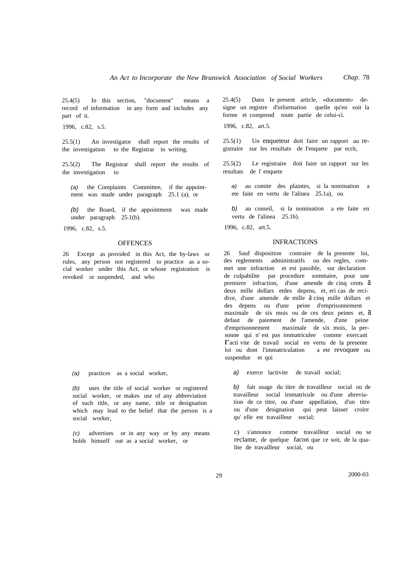25.4(5) In this section, "document" means a record of information in any form and includes any part of it.

1996, c.82, s.5.

25.5(1) An investigator shall report the results of the investigation to the Registrar in writing.

25.5(2) The Registrar shall report the results of the investigation to

*(a)* the Complaints Committee, if the appointment was made under paragraph 25.1 (a), or

*(b)* the Board, if the appointment was made under paragraph 25.1(b).

1996, c.82, s.5.

#### **OFFENCES**

26 Except as provided in this Act, the by-laws or rules, any person not registered to practice as a social worker under this Act, or whose registration is revoked or suspended, and who

*(a)* practices as a social worker,

*(b)* uses the title of social worker or registered social worker, or makes use of any abbreviation of such title, or any name, title or designation which may lead to the belief that the person is a social worker,

*(c)* advertises or in any way or by any means holds himself out as a social worker, or

25.4(5) Dans Ie present article, «document» designe un registre d'information quelle qu'en soit la forme et comprend toute partie de celui-ci.

1996, c.82, art.5.

25.5(1) Un enqueteur doit faire un rapport au registraire sur les resultats de I'enquete par ecrit,

25.5(2) Le registraire doit faire un rapport sur les resultats de l' enquete

*a)* au comite des plaintes, si la nomination a ete faite en vertu de l'alinea 25.1a), ou

*b)* au conseil, si la nomination a ete faite en vertu de l'alinea 25.1b).

1996, c.82, art.5.

#### INFRACTIONS

26 Sauf disposition contraire de la presente loi, des reglements administratifs ou des regles, commet une infraction et est passible, sur declaration de culpabilite par procedure sommaire, pour une premiere infraction, d'une amende de cinq cents a deux mille dollars etdes depens, et, eri cas de recidive, d'une amende de mille  $\alpha$  cinq mille dollars et des depens ou d'une peine d'emprisonnement maximale de six mois ou de ces deux peines et, a defaut de paiement de l'amende, d'une peine d'emprisonnement maximale de six mois, la personne qui n' est pas immatriculee comme exercant I'acti vite de travail social en vertu de la presente loi ou dont l'immatriculation a ete revoquee ou suspendue et qui

*a)* exerce lactivite de travail social;

*b)* fait usage du titre de travailleur social ou de travailleur social irnmatricule ou d'une abreviation de ce titre, ou d'une appellation, d'un titre ou d'une designation qui peut laisser croire qu' elle est travailleur social;

c) s'annonce comme travailleur social ou se reclame, de quelque facon que ce soit, de la qualite de travailleur social, ou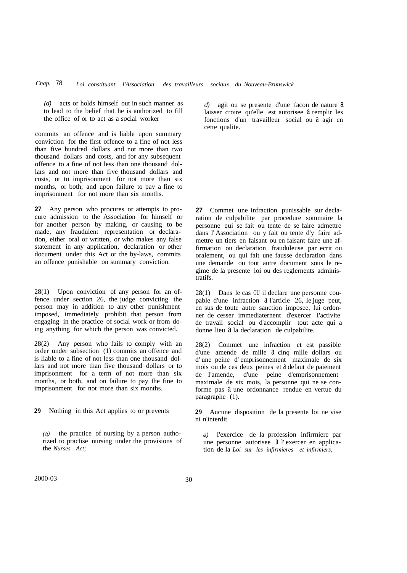*(d)* acts or holds himself out in such manner as to lead to the belief that he is authorized to fill the office of or to act as a social worker

commits an offence and is liable upon summary conviction for the first offence to a fine of not less than five hundred dollars and not more than two thousand dollars and costs, and for any subsequent offence to a fine of not less than one thousand dollars and not more than five thousand dollars and costs, or to imprisonment for not more than six months, or both, and upon failure to pay a fine to imprisonment for not more than six months.

**27** Any person who procures or attempts to procure admission to the Association for himself or for another person by making, or causing to be made, any fraudulent representation or declaration, either oral or written, or who makes any false statement in any application, declaration or other document under this Act or the by-laws, commits an offence punishable on summary conviction.

28(1) Upon conviction of any person for an offence under section 26, the judge convicting the person may in addition to any other punishment imposed, immediately prohibit that person from engaging in the practice of social work or from doing anything for which the person was convicted.

28(2) Any person who fails to comply with an order under subsection (1) commits an offence and is liable to a fine of not less than one thousand dollars and not more than five thousand dollars or to imprisonment for a term of not more than six months, or both, and on failure to pay the fine to imprisonment for not more than six months.

**29** Nothing in this Act applies to or prevents

*(a)* the practice of nursing by a person authorized to practise nursing under the provisions of the *Nurses Act;*

*d*) agit ou se presente d'une facon de nature  $a$ laisser croire qu'elle est autorisee  $\alpha$  remplir les fonctions d'un travailleur social ou a agir en cette qualite.

**27** Commet une infraction punissable sur declaration de culpabilite par procedure sommaire la personne qui se fait ou tente de se faire admettre dans l' Association ou y fait ou tente d'y faire admettre un tiers en faisant ou en faisant faire une affirmation ou declaration frauduleuse par ecrit ou oralement, ou qui fait une fausse declaration dans une demande ou tout autre document sous le regime de la presente loi ou des reglernents administratifs.

28(1) Dans le cas OU il declare une personne coupable d'une infraction a l'article 26, Ie juge peut, en sus de toute autre sanction imposee, lui ordonner de cesser immediaternent d'exercer I'activite de travail social ou d'accomplir tout acte qui a donne lieu  $\lambda$  la declaration de culpabilite.

28(2) Commet une infraction et est passible d'une amende de mille  $a$  cinq mille dollars ou d' une peine d' emprisonnement maximale de six mois ou de ces deux peines et a defaut de paiement de I'amende, d'une peine d'emprisonnement maximale de six mois, la personne qui ne se conforme pas a une ordonnance rendue en vertue du paragraphe (1).

**29** Aucune disposition de la presente loi ne vise ni n'interdit

*a)* I'exercice de la profession infirrniere par une personne autorisee a l' exercer en application de la *Loi sur les infirmieres et infirmiers;*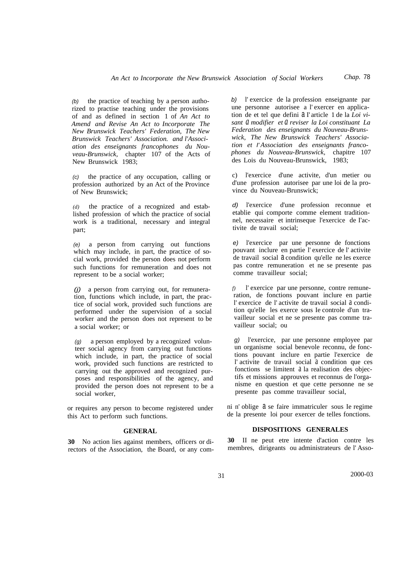*(b)* the practice of teaching by a person authorized to practise teaching under the provisions of and as defined in section 1 of *An Act to Amend and Revise An Act to Incorporate The New Brunswick Teachers' Federation, The New Brunswick Teachers' Association. and l'Association des enseignants francophones du Nouveau-Brunswick,* chapter 107 of the Acts of New Brunswick 1983;

*(c)* the practice of any occupation, calling or profession authorized by an Act of the Province of New Brunswick;

*(d)* the practice of a recognized and established profession of which the practice of social work is a traditional, necessary and integral part;

*(e)* a person from carrying out functions which may include, in part, the practice of social work, provided the person does not perform such functions for remuneration and does not represent to be a social worker;

*(j)* a person from carrying out, for remuneration, functions which include, in part, the practice of social work, provided such functions are performed under the supervision of a social worker and the person does not represent to be a social worker; or

*(g)* a person employed by a recognized volunteer social agency from carrying out functions which include, in part, the practice of social work, provided such functions are restricted to carrying out the approved and recognized purposes and responsibilities of the agency, and provided the person does not represent to be a social worker,

or requires any person to become registered under this Act to perform such functions.

#### **GENERAL**

**30** No action lies against members, officers or directors of the Association, the Board, or any com-

*b)* l' exercice de la profession enseignante par une personne autorisee a l' exercer en application de et tel que defini a I' article 1 de la *Loi visant a modifier et a reviser la Loi constituant La Federation des enseignants du Nouveau-Brunswick, The New Brunswick Teachers' Association et I' Association des enseignants francophones du Nouveau-Brunswick,* chapitre 107 des Lois du Nouveau-Brunswick, 1983;

c) l'exercice d'une activite, d'un metier ou d'une profession autorisee par une loi de la province du Nouveau-Brunswick;

*d)* l'exercice d'une profession reconnue et etablie qui comporte comme element traditionnel, necessaire et intrinseque l'exercice de I'activite de travail social;

*e)* l'exercice par une personne de fonctions pouvant inclure en partie l' exercice de l' activite de travail social a condition qu'elle ne les exerce pas contre remuneration et ne se presente pas comme travailleur social;

*f)* l' exercice par une personne, contre remuneration, de fonctions pouvant inclure en partie l' exercice de l' activite de travail social a condition qu'elle les exerce sous Ie controle d'un travailleur social et ne se presente pas comme travailleur social; ou

*g)* l'exercice, par une personne employee par un organisme social benevole reconnu, de fonctions pouvant inclure en partie l'exercice de l' activite de travail social a condition que ces fonctions se limitent a la realisation des objectifs et missions approuves et reconnus de l'organisme en question et que cette personne ne se presente pas comme travailleur social,

ni n' oblige  $a$  se faire immatriculer sous Ie regime de la presente loi pour exercer de telles fonctions.

#### **DISPOSITIONS GENERALES**

**30** II ne peut etre intente d'action contre les membres, dirigeants ou administrateurs de l' Asso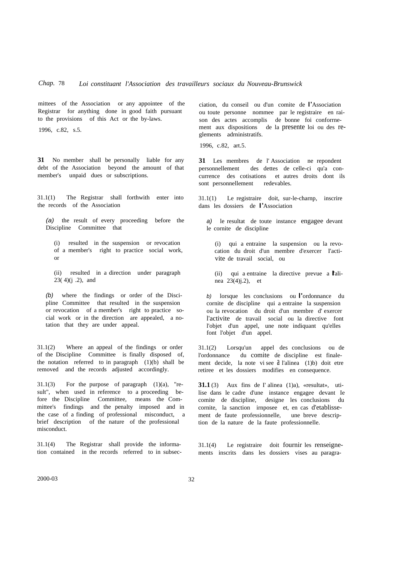mittees of the Association or any appointee of the Registrar for anything done in good faith pursuant to the provisions of this Act or the by-laws.

1996, c.82, s.5.

**31** No member shall be personally liable for any debt of the Association beyond the amount of that member's unpaid dues or subscriptions.

31.1(1) The Registrar shall forthwith enter into the records of the Association

*(a)* the result of every proceeding before the Discipline Committee that

(i) resulted in the suspension or revocation of a member's right to practice social work, or

(ii) resulted in a direction under paragraph  $23(4)(j.2)$ , and

*(b)* where the findings or order of the Discipline Committee that resulted in the suspension or revocation of a member's right to practice social work or in the direction are appealed, a notation that they are under appeal.

31.1(2) Where an appeal of the findings or order of the Discipline Committee is finally disposed of, the notation referred to in paragraph  $(1)(b)$  shall be removed and the records adjusted accordingly.

 $31.1(3)$  For the purpose of paragraph  $(1)(a)$ , "result", when used in reference to a proceeding before the Discipline Committee, means the Committee's findings and the penalty imposed and in the case of a finding of professional misconduct, a brief description of the nature of the professional misconduct.

31.1(4) The Registrar shall provide the information contained in the records referred to in subsecciation, du conseil ou d'un comite de I'Association ou toute personne nommee par le registraire en raison des actes accomplis de bonne foi conforrnement aux dispositions de la presente loi ou des reglements adrninistratifs.

1996, c.82, art.5.

**31** Les membres de l' Association ne repondent personnellement des dettes de celle-ci qu'a concurrence des cotisations et autres droits dont ils sont personnellement redevables.

31.1(1) Le registraire doit, sur-le-charnp, inscrire dans les dossiers de I'Association

*a)* le resultat de toute instance engagee devant le cornite de discipline

(i) qui a entraine la suspension ou la revocation du droit d'un membre d'exercer I'activite de travail social, ou

(ii) qui <sup>a</sup> entraine la directive prevue <sup>a</sup> I'alinea 23(4)j.2), et

*b)* lorsque les conclusions ou l'ordonnance du cornite de discipline qui a entraine la suspension ou la revocation du droit d'un membre d' exercer l'activite de travail social ou la directive font l'objet d'un appel, une note indiquant qu'elles font l'objet d'un appel.

31.1(2) Lorsqu'un appel des conclusions ou de l'ordonnance du comite de discipline est finalement decide, la note vi see a l'alinea (1)b) doit etre retiree et les dossiers modifies en consequence.

**31.1** (3) Aux fins de I' alinea (1)a), «resultat», utilise dans le cadre d'une instance engagee devant Ie comite de discipline, designe les conclusions du cornite, la sanction irnposee et, en cas d'etablissement de faute professionnelle, une breve description de la nature de la faute professionnelle.

31.1(4) Le registraire doit fournir les renseignements inscrits dans les dossiers vises au paragra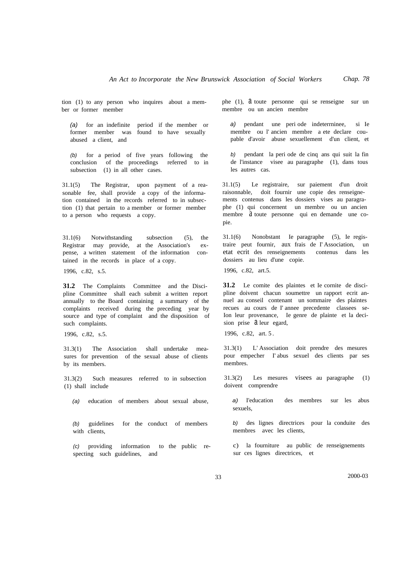tion (1) to any person who inquires about a member or former member

*(a)* for an indefinite period if the member or former member was found to have sexually abused a client, and

*(b)* for a period of five years following the conclusion of the proceedings referred to in subsection (1) in all other cases.

31.1(5) The Registrar, upon payment of a reasonable fee, shall provide a copy of the information contained in the records referred to in subsection (1) that pertain to a member or former member to a person who requests a copy.

31.1(6) Notwithstanding subsection (5), the Registrar may provide, at the Association's expense, a written statement of the information contained in the records in place of a copy.

1996, c.82, s.5.

**31.2** The Complaints Committee and the Discipline Committee shall each submit a written report annually to the Board containing a summary of the complaints received during the preceding year by source and type of complaint and the disposition of such complaints.

1996, c.82, s.5.

31.3(1) The Association shall undertake measures for prevention of the sexual abuse of clients by its members.

31.3(2) Such measures referred to in subsection (1) shall include

*(a)* education of members about sexual abuse,

*(b)* guidelines for the conduct of members with clients,

*(c)* providing information to the public respecting such guidelines, and

phe (1),  $\theta$  toute personne qui se renseigne sur un membre ou un ancien membre

*a)* pendant une peri ode indeterrninee, si Ie membre ou l' ancien membre a ete declare coupable d'avoir abuse sexuellement d'un client, et

*b)* pendant la peri ode de cinq ans qui suit la fin de l'instance visee au paragraphe (1), dans tous les autres cas.

31.1(5) Le registraire, sur paiement d'un droit raisonnable, doit fournir une copie des renseignements contenus dans les dossiers vises au paragraphe (1) qui concernent un membre ou un ancien membre  $\hat{a}$  toute personne qui en demande une copie.

31.1(6) Nonobstant Ie paragraphe (5), Ie registraire peut fournir, aux frais de I' Association, un etat ecrit des renseignements contenus dans les dossiers au lieu d'une copie.

1996, c.82, art.5.

**31.2** Le comite des plaintes et Ie cornite de discipline doivent chacun soumettre un rapport ecrit annuel au conseil contenant un sommaire des plaintes recues au cours de I' annee precedente classees se-Ion leur provenance, Ie genre de plainte et la decision prise  $\theta$  leur egard,

1996, c.82, art. 5 .

31.3(1) L' Association doit prendre des mesures pour empecher I' abus sexuel des clients par ses membres.

31.3(2) Les mesures visees au paragraphe (1) doivent comprendre

*a)* I'education des membres sur les abus sexuels,

*b)* des lignes directrices pour la conduite des membres avec les clients,

c) la fourniture au public de renseignements sur ces lignes directrices, et

33 2000-03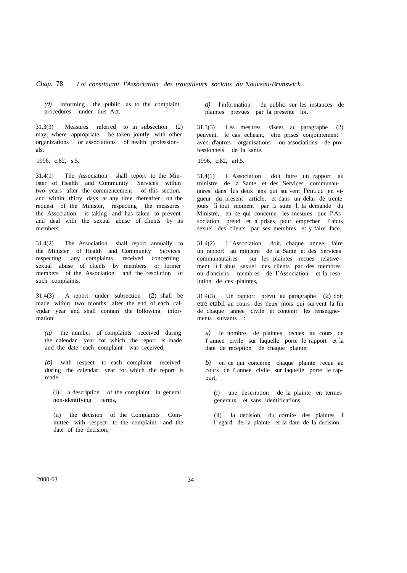*(d)* informing the public as to the complaint procedures under this Act.

31.3(3) Measures referred to in subsection (2) may, where appropriate, be taken jointly with other organizations or associations of health professionals.

1996, c.82, s.5.

31.4(1) The Association shall report to the Minister of Health and Community Services within two years after the commencement of this section, and within thirty days at any time thereafter on the request of the Minister, respecting the measures the Association is taking and has taken to prevent and deal with the sexual abuse of clients by its members.

31.4(2) The Association shall report annually to the Minister of Health and Community Services respecting any complaints received concerning sexual abuse of clients by members or former members of the Association and the resolution of such complaints.

31.4(3) A report under subsection (2) shall be made within two months after the end of each calendar year and shall contain the following information:

*(a)* the number of complaints received during the calendar year for which the report is made and the date each complaint was received;

*(b)* with respect to each complaint received during the calendar year for which the report is made

(i) a description of the complaint in general non-identifying terms,

(ii) the decision of the Complaints Committee with respect to the complaint and the date of the decision,

*d)* l'information du public sur les instances de plaintes prevues par la presente loi.

31.3(3) Les mesures visees au paragraphe (2) peuvent, le cas echeant, etre prises conjointement avec d'autres organisations ou associations de professionnels de la sante.

1996, c.82, art.5.

31.4(1) L' Association doit faire un rapport au rninistre de la Sante et des Services communautaires dans les deux ans qui sui vent I'entree en vigueur du present article, et dans un delai de trente jours Ii tout moment par la suite Ii la demande du Ministre, en ce qui concerne les mesures que l'Association prend et a prises pour empecher I' abus sexuel des clients par ses membres et y faire face.

31.4(2) L' Association doit, chaque annee, faire un rapport au ministre de la Sante et des Services communautaires sur les plaintes recues relativement Ii I' abus sexuel des clients par des membres ou d'anciens membres de I'Association et la resolution de ces plaintes,

31.4(3) Un rapport prevu au paragraphe (2) doit etre etabli au cours des deux mois qui sui vent la fin de chaque annee civile et contenir les renseignements suivants :

*a)* Ie nombre de plaintes recues au cours de I' annee civile sur laquelle porte le rapport et la date de reception de chaque plainte;

*b)* en ce qui concerne chaque plainte recue au cours de I' annee civile sur laquelle porte Ie rapport,

(i) une description de la plainte en termes generaux et sans identifications,

(ii) la decision du cornite des plaintes Ii l' egard de la plainte et la date de la decision,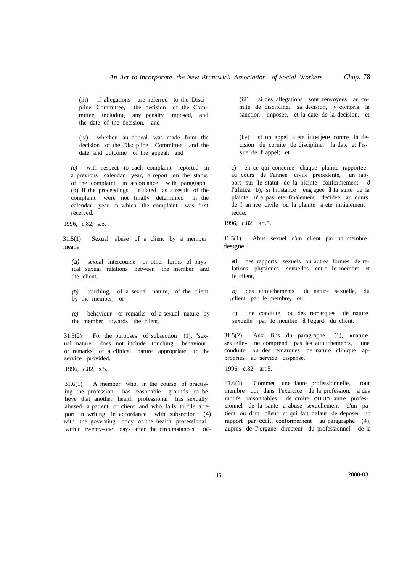(iii) if allegations are referred to the Discipline Committee, the decision of the Committee, including any penalty imposed, and the date of the decision, and

(iv) whether an appeal was made from the decision of the Discipline Committee and the date and outcome of the appeal; and

*(c)* with respect to each complaint reported in a previous calendar year, a report on the status of the complaint in accordance with paragraph (b) if the proceedings initiated as a result of the complaint were not finally determined in the calendar year in which the complaint was first received.

1996, c.82, s.5.

31.5(1) Sexual abuse of a client by a member means

*(a)* sexual intercourse or other forms of physical sexual relations between the member and the client,

*(b)* touching, of a sexual nature, of the client by the member, or

*(c)* behaviour or remarks of a sexual nature by the member towards the client.

31.5(2) For the purposes of subsection (1), "sexual nature" does not include touching, behaviour or remarks of a clinical nature appropriate to the service provided.

1996, c.82, s.5.

31.6(1) A member who, in the course of practising the profession, has reasonable grounds to believe that another health professional has sexually abused a patient or client and who fails to file a report in writing in accordance with subsection (4) with the governing body of the health professional within twenty-one days after the circumstances oc(iii) si des allegations sont renvoyees au comite de discipline, sa decision, y compris la sanction imposee, et la date de la decision, et

(i v) si un appel a ete interjete contre la decision du cornite de discipline, la date et l'issue de l' appel; et

c) en ce qui concerne chaque plainte rapportee au cours de I'annee civile precedente, un rapport sur Ie statut de la plainte conformement a l'alinea b), si l'instance eng agee à la suite de la plainte n' a pas ete finalement decidee au cours de I' an nee civile ou la plainte a ete initialement recue.

1996, c.82, art.5.

31.5(1) Abus sexuel d'un client par un membre designe

*a)* des rapports sexuels ou autres formes de relations physiques sexuelles entre Ie membre et Ie client,

*b)* des attouchements de nature sexuelle, du .client par Ie membre, ou

c) une conduite ou des remarques de nature sexuelle par Ie membre  $\hat{a}$  l'egard du client.

31.5(2) Aux fins du paragraphe (1), «nature sexuelle» ne comprend pas les attouchements, une conduite ou des remarques de nature clinique appropries au service dispense.

1996, c.82, art.5.

31.6(1) Commet une faute professionnelle, tout membre qui, dans I'exercice de la profession, a des motifs raisonnables de croire qu'un autre professionnel de la sante a abuse sexuellement d'un patient ou d'un client et qui fait defaut de deposer un rapport par ecrit, conformernent au paragraphe (4), aupres de I' organe directeur du professionnel de la

35 2000-03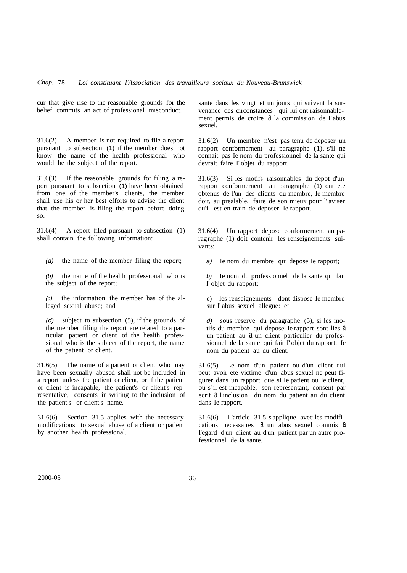cur that give rise to the reasonable grounds for the belief commits an act of professional misconduct.

31.6(2) A member is not required to file a report pursuant to subsection (1) if the member does not know the name of the health professional who would be the subject of the report.

31.6(3) If the reasonable grounds for filing a report pursuant to subsection (1) have been obtained from one of the member's clients, the member shall use his or her best efforts to advise the client that the member is filing the report before doing so.

31.6(4) A report filed pursuant to subsection (1) shall contain the following information:

*(a)* the name of the member filing the report;

*(b)* the name of the health professional who is the subject of the report;

*(c)* the information the member has of the alleged sexual abuse; and

*(d)* subject to subsection (5), if the grounds of the member filing the report are related to a particular patient or client of the health professional who is the subject of the report, the name of the patient or client.

31.6(5) The name of a patient or client who may have been sexually abused shall not be included in a report unless the patient or client, or if the patient or client is incapable, the patient's or client's representative, consents in writing to the inclusion of the patient's or client's name.

31.6(6) Section 31.5 applies with the necessary modifications to sexual abuse of a client or patient by another health professional.

sante dans les vingt et un jours qui suivent la survenance des circonstances qui lui ont raisonnablement permis de croire à la commission de l'abus sexuel.

31.6(2) Un membre n'est pas tenu de deposer un rapport conformernent au paragraphe (1), s'il ne connait pas Ie nom du professionnel de la sante qui devrait faire I' objet du rapport.

31.6(3) Si les motifs raisonnables du depot d'un rapport conformernent au paragraphe (1) ont ete obtenus de I'un des clients du membre, Ie membre doit, au prealable, faire de son mieux pour l' aviser qu'il est en train de deposer Ie rapport.

31.6(4) Un rapport depose conformernent au paragraphe (1) doit contenir les renseignements suivants:

*a)* Ie nom du membre qui depose Ie rapport;

*b)* Ie nom du professionnel de la sante qui fait l' objet du rapport;

c) les renseignements dont dispose Ie membre sur l' abus sexuel allegue: et

*d)* sous reserve du paragraphe (5), si les motifs du membre qui depose Ie rapport sont lies a un patient au  $a$  un client particulier du professionnel de la sante qui fait I' objet du rapport, Ie nom du patient au du client.

31.6(5) Le nom d'un patient ou d'un client qui peut avoir ete victime d'un abus sexuel ne peut figurer dans un rapport que si Ie patient ou Ie client, ou s'il est incapable, son representant, consent par ecrit a l'inclusion du nom du patient au du client dans Ie rapport.

31.6(6) L'article 31.5 s'applique avec les modifications necessaires  $a$  un abus sexuel commis  $a$ l'egard d'un client au d'un patient par un autre professionnel de la sante.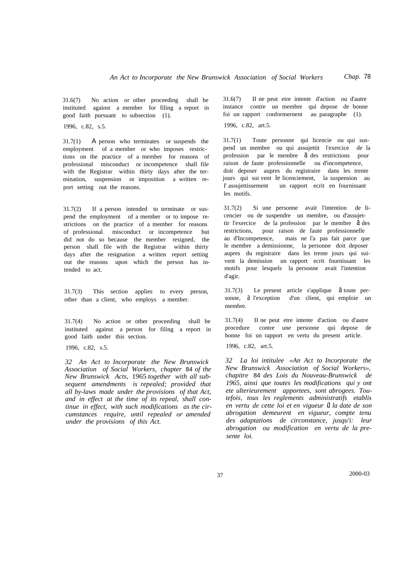31.6(7) No action or other proceeding shall be instituted against a member for filing a report in good faith pursuant to subsection (1).

1996, c.82, s.5.

31.7(1) A person who terminates or suspends the employment of a member or who imposes restrictions on the practice of a member for reasons of professional misconduct or incompetence shall file with the Registrar within thirty days after the termination, suspension or imposition a written report setting out the reasons.

31.7(2) If a person intended to terminate or suspend the employment of a member or to impose restrictions on the practice of a member for reasons of professional misconduct or incompetence but did not do so because the member resigned, the person shall file with the Registrar within thirty days after the resignation a written report setting out the reasons upon which the person has intended to act.

31.7(3) This section applies to every person, other than a client, who employs a member.

31.7(4) No action or other proceeding shall be instituted against a person for filing a report in good faith under this section.

1996, c.82, s.5.

*32 An Act to Incorporate the New Brunswick Association of Social Workers, chapter* 84 *of the New Brunswick Acts,* 1965 *together with all subsequent amendments is repealed; provided that all by-laws made under the provisions of that Act, and in effect at the time of its repeal, shall continue in effect, with such modifications as the circumstances require, until repealed or amended under the provisions of this Act.*

31.6(7) II ne peut etre intente d'action ou d'autre instance contre un membre qui depose de bonne foi un rapport conformernent au paragraphe (1). 1996, c.82, art.5.

*Chap.* 78

31.7(1) Toute personne qui licencie ou qui suspend un membre ou qui assujettit l'exercice de la profession par le membre  $\partial$  des restrictions pour raison de faute professionnelle ou d'incompetence, doit deposer aupres du registraire dans les trente jours qui sui vent le licenciement, la suspension au I' assujettissement un rapport ecrit en fournissant les motifs.

31.7(2) Si une personne avait l'intention de Iicencier ou de suspendre un membre, ou d'assujettir l'exercice de la profession par le membre  $d$  des restrictions, pour raison de faute professionnelle au d'Incompetence, mais ne l'a pas fait parce que le membre a demissionne, la personne doit deposer aupres du registraire dans les trente jours qui suivent la demission un rapport ecrit fournissant les motifs pour lesquels la personne avait l'intention d'agir.

 $31.7(3)$  Le present article s'applique  $\partial$  toute personne, a l'exception d'un client, qui emploie un membre.

31.7(4) II ne peut etre intente d'action ou d'autre procedure contre une personne qui depose de bonne foi un rapport en vertu du present article.

1996, c.82, art.5.

*32 La loi intitulee «An Act to Incorporate the New Brunswick Association of Social Workers», chapitre* 84 *des Lois du Nouveau-Brunswick de 1965, ainsi que toutes les modifications qui y ont ete ulterieurement apportees, sont abrogees. Toutefois, tous les reglements administratifs etablis en vertu de cette loi et en vigueur a la date de son abrogation demeurent en vigueur, compte tenu des adaptations de circonstance, jusqu'i: leur abrogation ou modification en vertu de la presente loi.*

37 2000-03